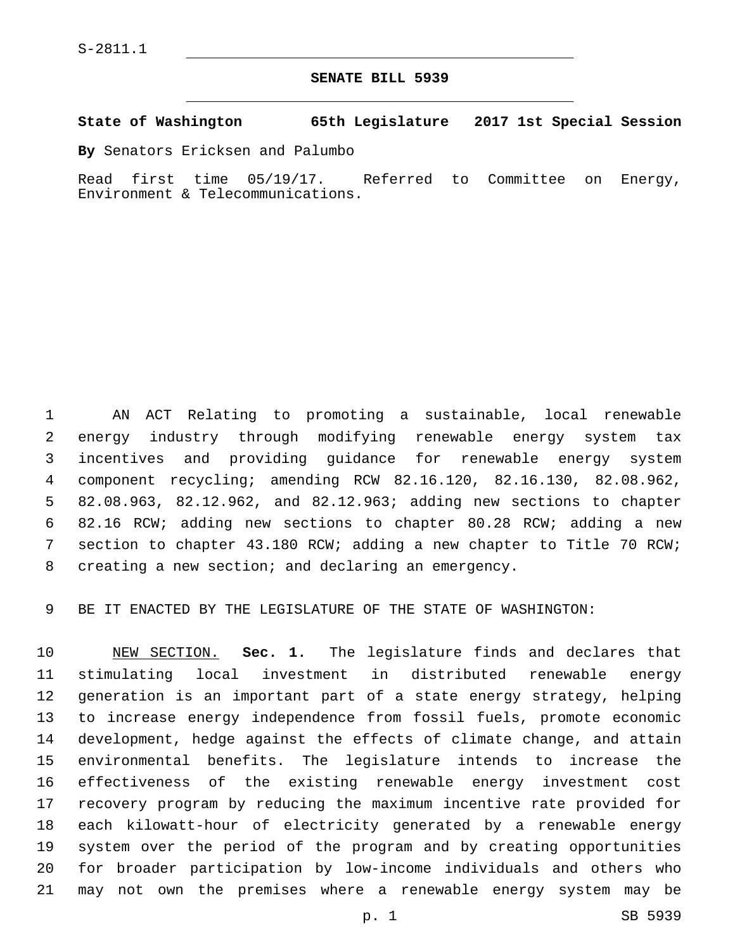## **SENATE BILL 5939**

## **State of Washington 65th Legislature 2017 1st Special Session**

**By** Senators Ericksen and Palumbo

Read first time 05/19/17. Referred to Committee on Energy, Environment & Telecommunications.

 AN ACT Relating to promoting a sustainable, local renewable energy industry through modifying renewable energy system tax incentives and providing guidance for renewable energy system component recycling; amending RCW 82.16.120, 82.16.130, 82.08.962, 82.08.963, 82.12.962, and 82.12.963; adding new sections to chapter 82.16 RCW; adding new sections to chapter 80.28 RCW; adding a new section to chapter 43.180 RCW; adding a new chapter to Title 70 RCW; creating a new section; and declaring an emergency.

BE IT ENACTED BY THE LEGISLATURE OF THE STATE OF WASHINGTON:

 NEW SECTION. **Sec. 1.** The legislature finds and declares that stimulating local investment in distributed renewable energy generation is an important part of a state energy strategy, helping to increase energy independence from fossil fuels, promote economic development, hedge against the effects of climate change, and attain environmental benefits. The legislature intends to increase the effectiveness of the existing renewable energy investment cost recovery program by reducing the maximum incentive rate provided for each kilowatt-hour of electricity generated by a renewable energy system over the period of the program and by creating opportunities for broader participation by low-income individuals and others who may not own the premises where a renewable energy system may be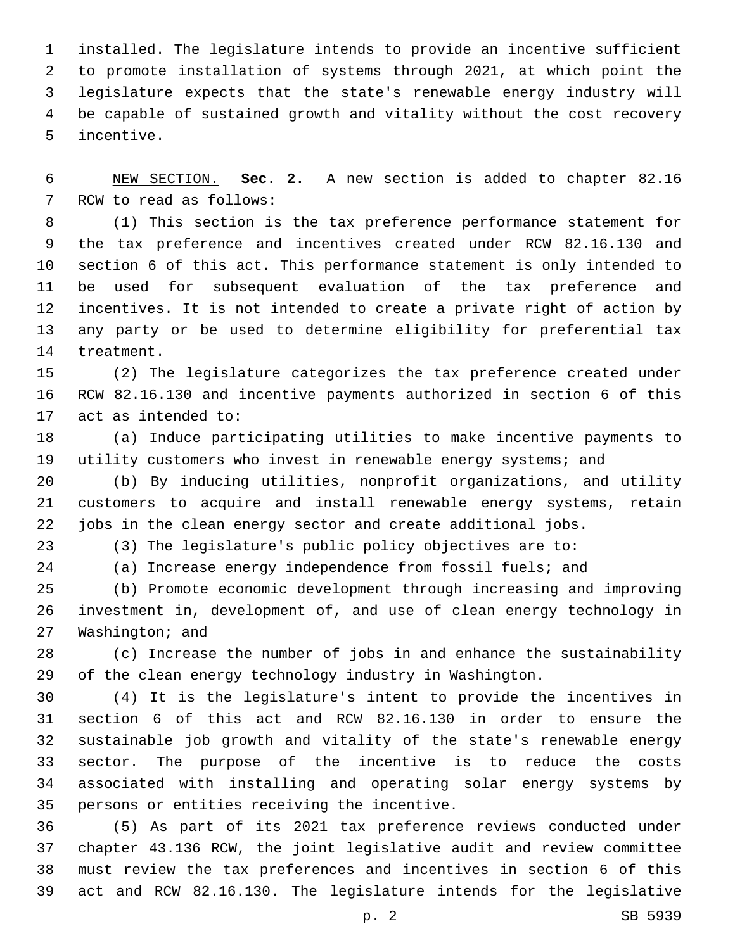installed. The legislature intends to provide an incentive sufficient to promote installation of systems through 2021, at which point the legislature expects that the state's renewable energy industry will be capable of sustained growth and vitality without the cost recovery 5 incentive.

 NEW SECTION. **Sec. 2.** A new section is added to chapter 82.16 7 RCW to read as follows:

 (1) This section is the tax preference performance statement for the tax preference and incentives created under RCW 82.16.130 and section 6 of this act. This performance statement is only intended to be used for subsequent evaluation of the tax preference and incentives. It is not intended to create a private right of action by any party or be used to determine eligibility for preferential tax 14 treatment.

 (2) The legislature categorizes the tax preference created under RCW 82.16.130 and incentive payments authorized in section 6 of this 17 act as intended to:

 (a) Induce participating utilities to make incentive payments to 19 utility customers who invest in renewable energy systems; and

 (b) By inducing utilities, nonprofit organizations, and utility customers to acquire and install renewable energy systems, retain jobs in the clean energy sector and create additional jobs.

(3) The legislature's public policy objectives are to:

(a) Increase energy independence from fossil fuels; and

 (b) Promote economic development through increasing and improving investment in, development of, and use of clean energy technology in 27 Washington; and

 (c) Increase the number of jobs in and enhance the sustainability of the clean energy technology industry in Washington.

 (4) It is the legislature's intent to provide the incentives in section 6 of this act and RCW 82.16.130 in order to ensure the sustainable job growth and vitality of the state's renewable energy sector. The purpose of the incentive is to reduce the costs associated with installing and operating solar energy systems by 35 persons or entities receiving the incentive.

 (5) As part of its 2021 tax preference reviews conducted under chapter 43.136 RCW, the joint legislative audit and review committee must review the tax preferences and incentives in section 6 of this act and RCW 82.16.130. The legislature intends for the legislative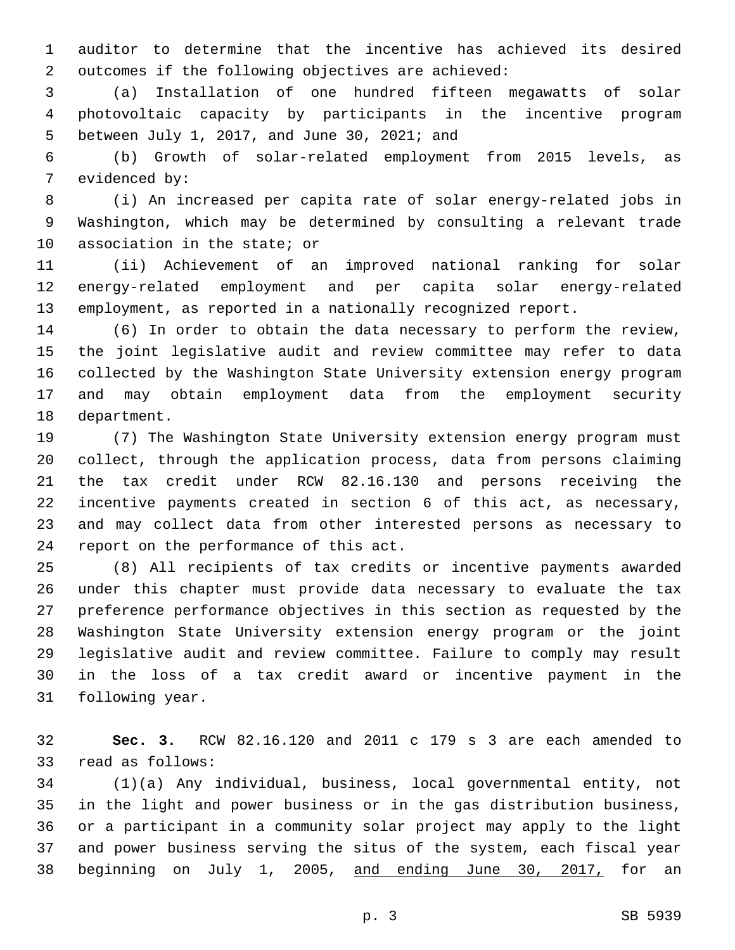auditor to determine that the incentive has achieved its desired 2 outcomes if the following objectives are achieved:

 (a) Installation of one hundred fifteen megawatts of solar photovoltaic capacity by participants in the incentive program between July 1, 2017, and June 30, 2021; and5

 (b) Growth of solar-related employment from 2015 levels, as 7 evidenced by:

 (i) An increased per capita rate of solar energy-related jobs in Washington, which may be determined by consulting a relevant trade 10 association in the state; or

 (ii) Achievement of an improved national ranking for solar energy-related employment and per capita solar energy-related employment, as reported in a nationally recognized report.

 (6) In order to obtain the data necessary to perform the review, the joint legislative audit and review committee may refer to data collected by the Washington State University extension energy program and may obtain employment data from the employment security 18 department.

 (7) The Washington State University extension energy program must collect, through the application process, data from persons claiming the tax credit under RCW 82.16.130 and persons receiving the incentive payments created in section 6 of this act, as necessary, and may collect data from other interested persons as necessary to 24 report on the performance of this act.

 (8) All recipients of tax credits or incentive payments awarded under this chapter must provide data necessary to evaluate the tax preference performance objectives in this section as requested by the Washington State University extension energy program or the joint legislative audit and review committee. Failure to comply may result in the loss of a tax credit award or incentive payment in the 31 following year.

 **Sec. 3.** RCW 82.16.120 and 2011 c 179 s 3 are each amended to 33 read as follows:

 (1)(a) Any individual, business, local governmental entity, not in the light and power business or in the gas distribution business, or a participant in a community solar project may apply to the light and power business serving the situs of the system, each fiscal year beginning on July 1, 2005, and ending June 30, 2017, for an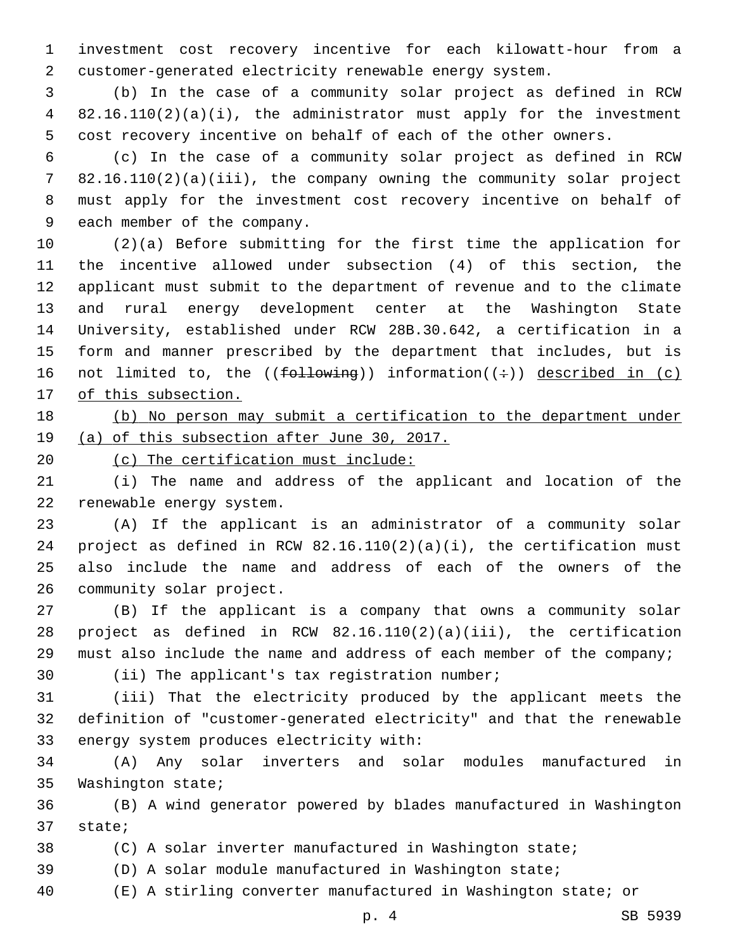investment cost recovery incentive for each kilowatt-hour from a customer-generated electricity renewable energy system.

 (b) In the case of a community solar project as defined in RCW 82.16.110(2)(a)(i), the administrator must apply for the investment cost recovery incentive on behalf of each of the other owners.

 (c) In the case of a community solar project as defined in RCW 82.16.110(2)(a)(iii), the company owning the community solar project must apply for the investment cost recovery incentive on behalf of 9 each member of the company.

 (2)(a) Before submitting for the first time the application for the incentive allowed under subsection (4) of this section, the applicant must submit to the department of revenue and to the climate and rural energy development center at the Washington State University, established under RCW 28B.30.642, a certification in a form and manner prescribed by the department that includes, but is 16 not limited to, the (( $f$ ollowing)) information( $(\div)$ ) described in (c) 17 of this subsection.

## 18 (b) No person may submit a certification to the department under (a) of this subsection after June 30, 2017.

20 (c) The certification must include:

 (i) The name and address of the applicant and location of the 22 renewable energy system.

 (A) If the applicant is an administrator of a community solar project as defined in RCW 82.16.110(2)(a)(i), the certification must also include the name and address of each of the owners of the 26 community solar project.

 (B) If the applicant is a company that owns a community solar project as defined in RCW 82.16.110(2)(a)(iii), the certification must also include the name and address of each member of the company;

30 (ii) The applicant's tax registration number;

 (iii) That the electricity produced by the applicant meets the definition of "customer-generated electricity" and that the renewable 33 energy system produces electricity with:

 (A) Any solar inverters and solar modules manufactured in 35 Washington state;

 (B) A wind generator powered by blades manufactured in Washington 37 state;

(C) A solar inverter manufactured in Washington state;

(D) A solar module manufactured in Washington state;

(E) A stirling converter manufactured in Washington state; or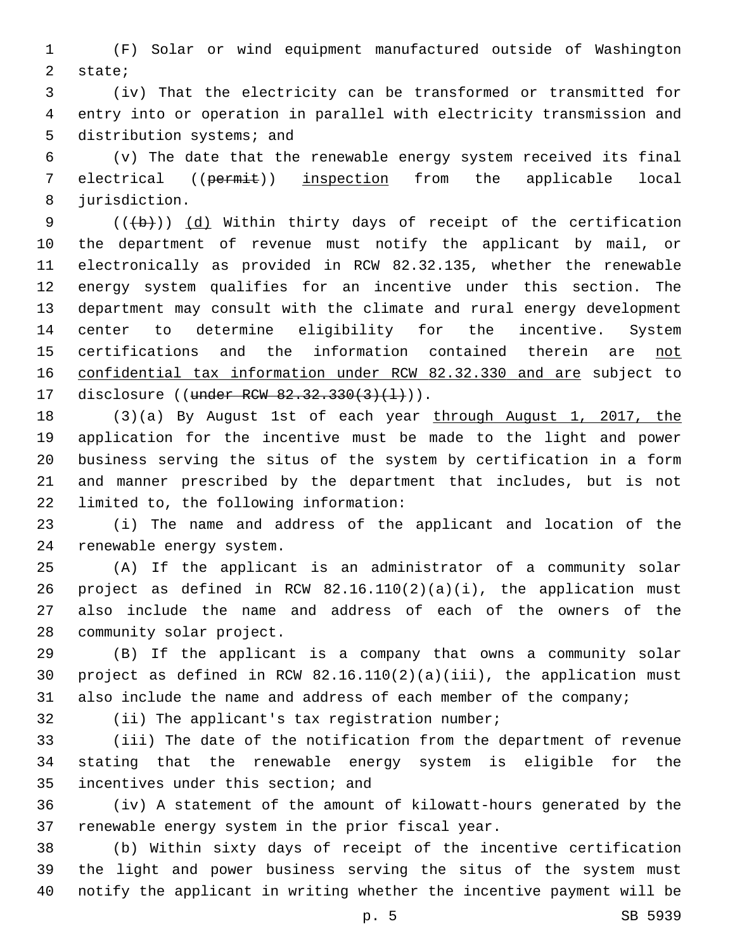(F) Solar or wind equipment manufactured outside of Washington 2 state;

 (iv) That the electricity can be transformed or transmitted for entry into or operation in parallel with electricity transmission and 5 distribution systems; and

 (v) The date that the renewable energy system received its final electrical ((permit)) inspection from the applicable local 8 jurisdiction.

9 (((b)) (d) Within thirty days of receipt of the certification the department of revenue must notify the applicant by mail, or electronically as provided in RCW 82.32.135, whether the renewable energy system qualifies for an incentive under this section. The department may consult with the climate and rural energy development center to determine eligibility for the incentive. System certifications and the information contained therein are not confidential tax information under RCW 82.32.330 and are subject to 17 disclosure ((under RCW 82.32.330(3)(1))).

 (3)(a) By August 1st of each year through August 1, 2017, the application for the incentive must be made to the light and power business serving the situs of the system by certification in a form and manner prescribed by the department that includes, but is not 22 limited to, the following information:

 (i) The name and address of the applicant and location of the 24 renewable energy system.

 (A) If the applicant is an administrator of a community solar project as defined in RCW 82.16.110(2)(a)(i), the application must also include the name and address of each of the owners of the 28 community solar project.

 (B) If the applicant is a company that owns a community solar project as defined in RCW 82.16.110(2)(a)(iii), the application must 31 also include the name and address of each member of the company;

32 (ii) The applicant's tax registration number;

 (iii) The date of the notification from the department of revenue stating that the renewable energy system is eligible for the 35 incentives under this section; and

 (iv) A statement of the amount of kilowatt-hours generated by the 37 renewable energy system in the prior fiscal year.

 (b) Within sixty days of receipt of the incentive certification the light and power business serving the situs of the system must notify the applicant in writing whether the incentive payment will be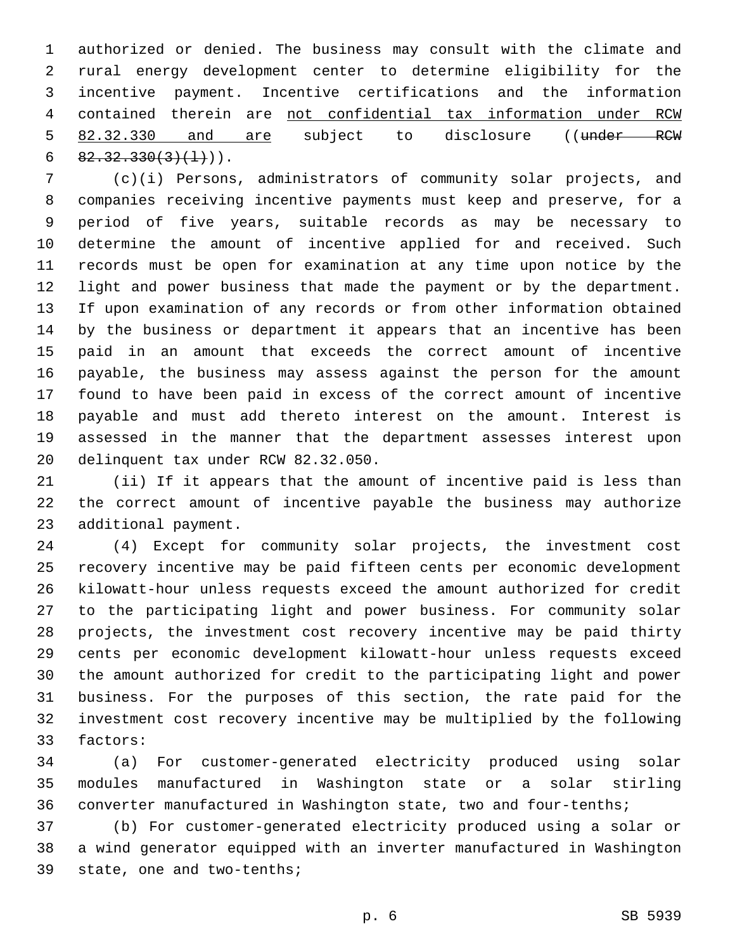authorized or denied. The business may consult with the climate and rural energy development center to determine eligibility for the incentive payment. Incentive certifications and the information contained therein are not confidential tax information under RCW 5 82.32.330 and are subject to disclosure ((under RCW  $82.32.330(3)(1)$ .

 (c)(i) Persons, administrators of community solar projects, and companies receiving incentive payments must keep and preserve, for a period of five years, suitable records as may be necessary to determine the amount of incentive applied for and received. Such records must be open for examination at any time upon notice by the light and power business that made the payment or by the department. If upon examination of any records or from other information obtained by the business or department it appears that an incentive has been paid in an amount that exceeds the correct amount of incentive payable, the business may assess against the person for the amount found to have been paid in excess of the correct amount of incentive payable and must add thereto interest on the amount. Interest is assessed in the manner that the department assesses interest upon 20 delinquent tax under RCW 82.32.050.

 (ii) If it appears that the amount of incentive paid is less than the correct amount of incentive payable the business may authorize 23 additional payment.

 (4) Except for community solar projects, the investment cost recovery incentive may be paid fifteen cents per economic development kilowatt-hour unless requests exceed the amount authorized for credit to the participating light and power business. For community solar projects, the investment cost recovery incentive may be paid thirty cents per economic development kilowatt-hour unless requests exceed the amount authorized for credit to the participating light and power business. For the purposes of this section, the rate paid for the investment cost recovery incentive may be multiplied by the following 33 factors:

 (a) For customer-generated electricity produced using solar modules manufactured in Washington state or a solar stirling converter manufactured in Washington state, two and four-tenths;

 (b) For customer-generated electricity produced using a solar or a wind generator equipped with an inverter manufactured in Washington 39 state, one and two-tenths;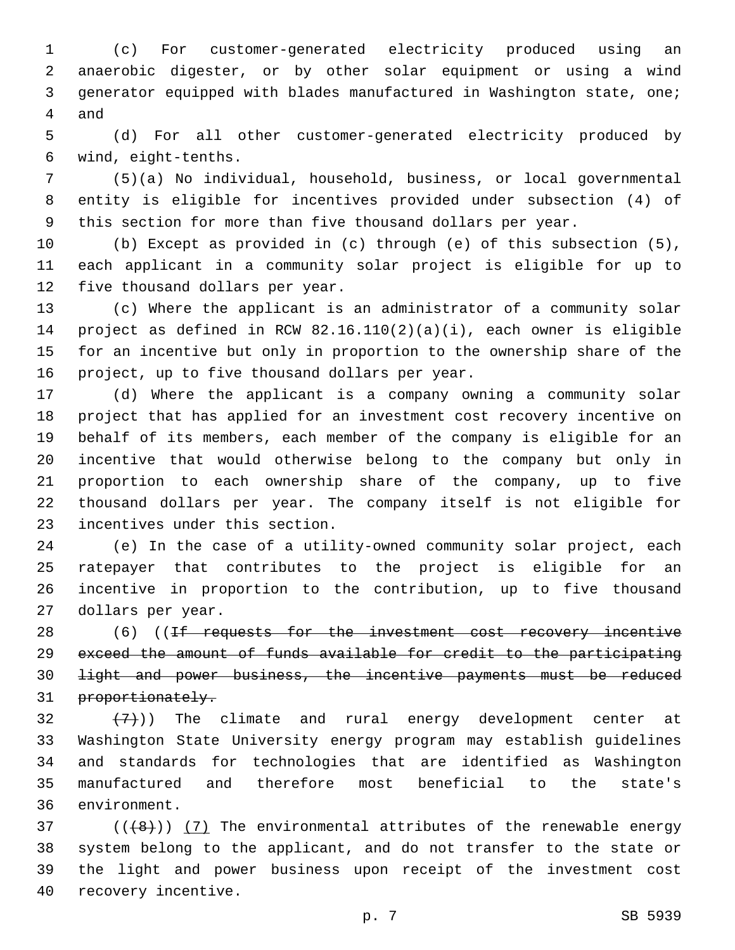(c) For customer-generated electricity produced using an anaerobic digester, or by other solar equipment or using a wind generator equipped with blades manufactured in Washington state, one; 4 and

 (d) For all other customer-generated electricity produced by wind, eight-tenths.6

 (5)(a) No individual, household, business, or local governmental entity is eligible for incentives provided under subsection (4) of this section for more than five thousand dollars per year.

 (b) Except as provided in (c) through (e) of this subsection (5), each applicant in a community solar project is eligible for up to 12 five thousand dollars per year.

 (c) Where the applicant is an administrator of a community solar project as defined in RCW 82.16.110(2)(a)(i), each owner is eligible for an incentive but only in proportion to the ownership share of the 16 project, up to five thousand dollars per year.

 (d) Where the applicant is a company owning a community solar project that has applied for an investment cost recovery incentive on behalf of its members, each member of the company is eligible for an incentive that would otherwise belong to the company but only in proportion to each ownership share of the company, up to five thousand dollars per year. The company itself is not eligible for 23 incentives under this section.

 (e) In the case of a utility-owned community solar project, each ratepayer that contributes to the project is eligible for an incentive in proportion to the contribution, up to five thousand 27 dollars per year.

28 (6) ((If requests for the investment cost recovery incentive exceed the amount of funds available for credit to the participating light and power business, the incentive payments must be reduced 31 proportionately.

 $(32 + (7))$  The climate and rural energy development center at Washington State University energy program may establish guidelines and standards for technologies that are identified as Washington manufactured and therefore most beneficial to the state's 36 environment.

 ( $(\frac{48}{})$ ) (7) The environmental attributes of the renewable energy system belong to the applicant, and do not transfer to the state or the light and power business upon receipt of the investment cost 40 recovery incentive.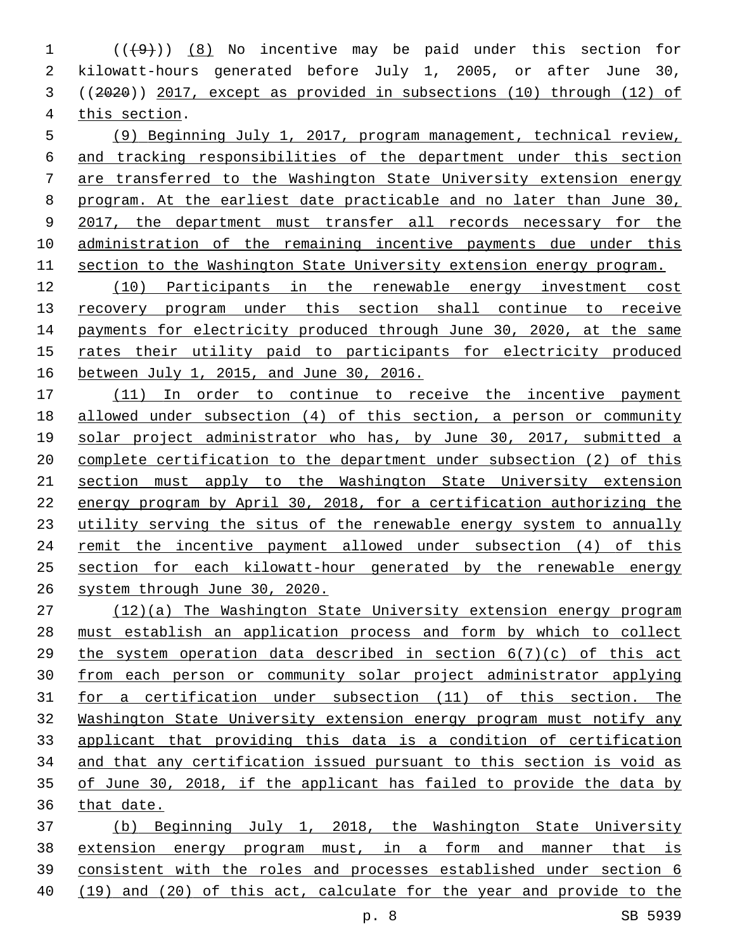$((+9))$   $(8)$  No incentive may be paid under this section for kilowatt-hours generated before July 1, 2005, or after June 30, ((2020)) 2017, except as provided in subsections (10) through (12) of 4 this section.

 (9) Beginning July 1, 2017, program management, technical review, and tracking responsibilities of the department under this section are transferred to the Washington State University extension energy 8 program. At the earliest date practicable and no later than June 30, 9 2017, the department must transfer all records necessary for the administration of the remaining incentive payments due under this section to the Washington State University extension energy program.

 (10) Participants in the renewable energy investment cost recovery program under this section shall continue to receive payments for electricity produced through June 30, 2020, at the same rates their utility paid to participants for electricity produced between July 1, 2015, and June 30, 2016.

17 (11) In order to continue to receive the incentive payment allowed under subsection (4) of this section, a person or community solar project administrator who has, by June 30, 2017, submitted a complete certification to the department under subsection (2) of this section must apply to the Washington State University extension energy program by April 30, 2018, for a certification authorizing the utility serving the situs of the renewable energy system to annually remit the incentive payment allowed under subsection (4) of this section for each kilowatt-hour generated by the renewable energy system through June 30, 2020.

 (12)(a) The Washington State University extension energy program must establish an application process and form by which to collect the system operation data described in section 6(7)(c) of this act from each person or community solar project administrator applying for a certification under subsection (11) of this section. The Washington State University extension energy program must notify any applicant that providing this data is a condition of certification and that any certification issued pursuant to this section is void as of June 30, 2018, if the applicant has failed to provide the data by that date.

 (b) Beginning July 1, 2018, the Washington State University extension energy program must, in a form and manner that is consistent with the roles and processes established under section 6 (19) and (20) of this act, calculate for the year and provide to the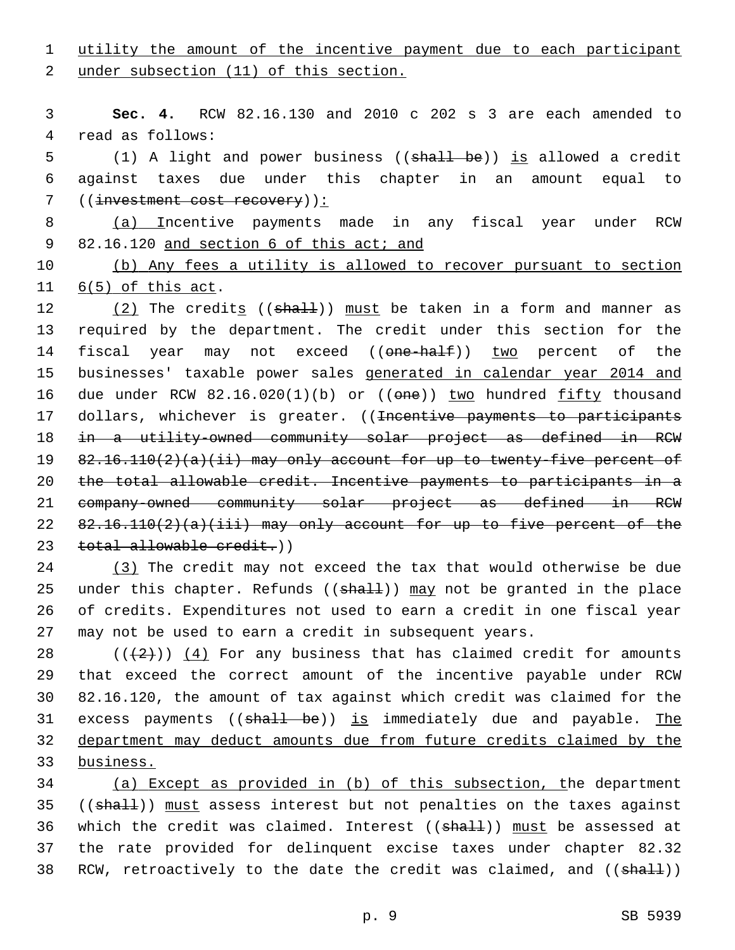1 utility the amount of the incentive payment due to each participant

2 under subsection (11) of this section.

3 **Sec. 4.** RCW 82.16.130 and 2010 c 202 s 3 are each amended to 4 read as follows:

5 (1) A light and power business ((shall be)) is allowed a credit 6 against taxes due under this chapter in an amount equal to 7 ((investment cost recovery)):

8 (a) Incentive payments made in any fiscal year under RCW 9 82.16.120 and section 6 of this act; and

10 (b) Any fees a utility is allowed to recover pursuant to section 11  $6(5)$  of this act.

 $(2)$  The credits (( $shall$ )) must be taken in a form and manner as required by the department. The credit under this section for the 14 fiscal year may not exceed ((one-half)) two percent of the businesses' taxable power sales generated in calendar year 2014 and 16 due under RCW 82.16.020(1)(b) or ((one)) two hundred fifty thousand 17 dollars, whichever is greater. ((<del>Incentive payments to participants</del> in a utility-owned community solar project as defined in RCW 82.16.110(2)(a)(ii) may only account for up to twenty-five percent of the total allowable credit. Incentive payments to participants in a company-owned community solar project as defined in RCW  $82.16.110(2)(a)(iii)$  may only account for up to five percent of the 23 total allowable credit.))

 (3) The credit may not exceed the tax that would otherwise be due 25 under this chapter. Refunds ( $(\text{shall})$ ) may not be granted in the place of credits. Expenditures not used to earn a credit in one fiscal year may not be used to earn a credit in subsequent years.

 $((+2+))$  (4) For any business that has claimed credit for amounts that exceed the correct amount of the incentive payable under RCW 82.16.120, the amount of tax against which credit was claimed for the 31 excess payments ((shall be)) is immediately due and payable. The department may deduct amounts due from future credits claimed by the business.

34 (a) Except as provided in (b) of this subsection, the department 35 ((shall)) must assess interest but not penalties on the taxes against 36 which the credit was claimed. Interest ((shall)) must be assessed at 37 the rate provided for delinquent excise taxes under chapter 82.32 38 RCW, retroactively to the date the credit was claimed, and ((shall))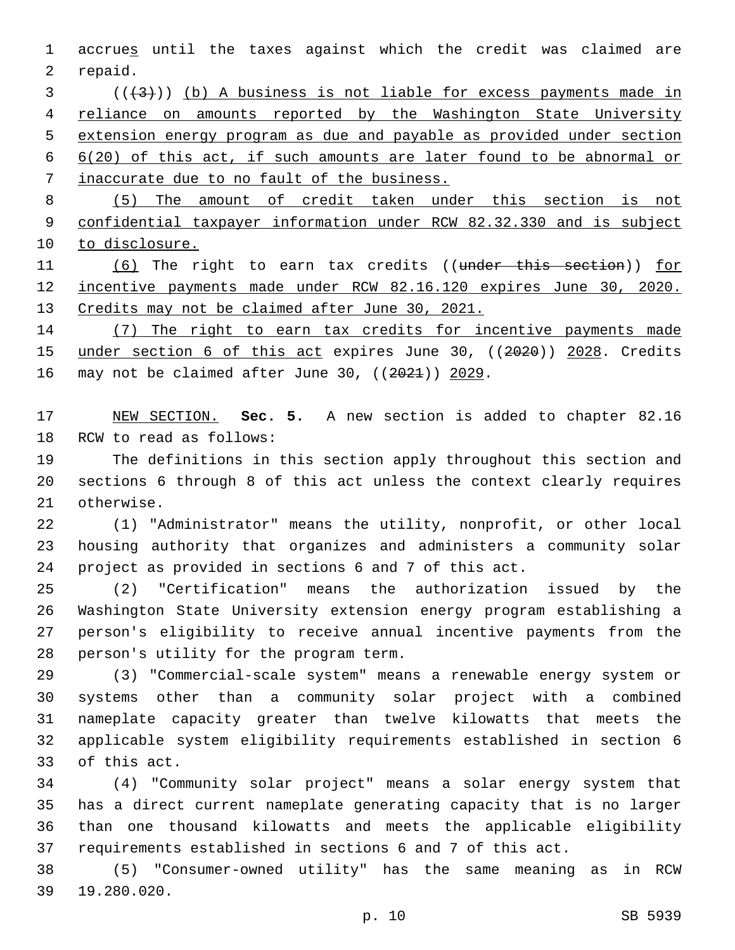accrues until the taxes against which the credit was claimed are 2 repaid.

 ( $(\overline{+3})$ ) (b) A business is not liable for excess payments made in reliance on amounts reported by the Washington State University extension energy program as due and payable as provided under section 6(20) of this act, if such amounts are later found to be abnormal or inaccurate due to no fault of the business.

 (5) The amount of credit taken under this section is not confidential taxpayer information under RCW 82.32.330 and is subject 10 to disclosure.

11 (6) The right to earn tax credits ((under this section)) for incentive payments made under RCW 82.16.120 expires June 30, 2020. Credits may not be claimed after June 30, 2021.

 (7) The right to earn tax credits for incentive payments made 15 under section 6 of this act expires June 30, ((2020)) 2028. Credits 16 may not be claimed after June 30,  $((2021))$  2029.

 NEW SECTION. **Sec. 5.** A new section is added to chapter 82.16 18 RCW to read as follows:

 The definitions in this section apply throughout this section and sections 6 through 8 of this act unless the context clearly requires 21 otherwise.

 (1) "Administrator" means the utility, nonprofit, or other local housing authority that organizes and administers a community solar project as provided in sections 6 and 7 of this act.

 (2) "Certification" means the authorization issued by the Washington State University extension energy program establishing a person's eligibility to receive annual incentive payments from the 28 person's utility for the program term.

 (3) "Commercial-scale system" means a renewable energy system or systems other than a community solar project with a combined nameplate capacity greater than twelve kilowatts that meets the applicable system eligibility requirements established in section 6 33 of this act.

 (4) "Community solar project" means a solar energy system that has a direct current nameplate generating capacity that is no larger than one thousand kilowatts and meets the applicable eligibility requirements established in sections 6 and 7 of this act.

 (5) "Consumer-owned utility" has the same meaning as in RCW 19.280.020.39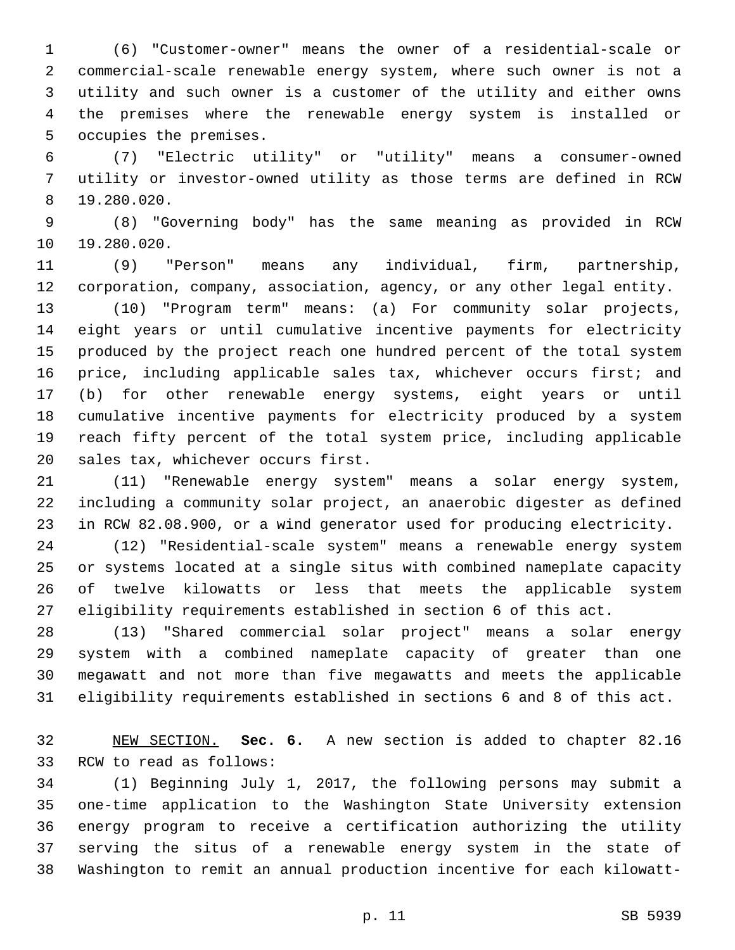(6) "Customer-owner" means the owner of a residential-scale or commercial-scale renewable energy system, where such owner is not a utility and such owner is a customer of the utility and either owns the premises where the renewable energy system is installed or 5 occupies the premises.

 (7) "Electric utility" or "utility" means a consumer-owned utility or investor-owned utility as those terms are defined in RCW 19.280.020.8

 (8) "Governing body" has the same meaning as provided in RCW 10 19.280.020.

 (9) "Person" means any individual, firm, partnership, corporation, company, association, agency, or any other legal entity.

 (10) "Program term" means: (a) For community solar projects, eight years or until cumulative incentive payments for electricity produced by the project reach one hundred percent of the total system price, including applicable sales tax, whichever occurs first; and (b) for other renewable energy systems, eight years or until cumulative incentive payments for electricity produced by a system reach fifty percent of the total system price, including applicable 20 sales tax, whichever occurs first.

 (11) "Renewable energy system" means a solar energy system, including a community solar project, an anaerobic digester as defined in RCW 82.08.900, or a wind generator used for producing electricity.

 (12) "Residential-scale system" means a renewable energy system or systems located at a single situs with combined nameplate capacity of twelve kilowatts or less that meets the applicable system eligibility requirements established in section 6 of this act.

 (13) "Shared commercial solar project" means a solar energy system with a combined nameplate capacity of greater than one megawatt and not more than five megawatts and meets the applicable eligibility requirements established in sections 6 and 8 of this act.

 NEW SECTION. **Sec. 6.** A new section is added to chapter 82.16 33 RCW to read as follows:

 (1) Beginning July 1, 2017, the following persons may submit a one-time application to the Washington State University extension energy program to receive a certification authorizing the utility serving the situs of a renewable energy system in the state of Washington to remit an annual production incentive for each kilowatt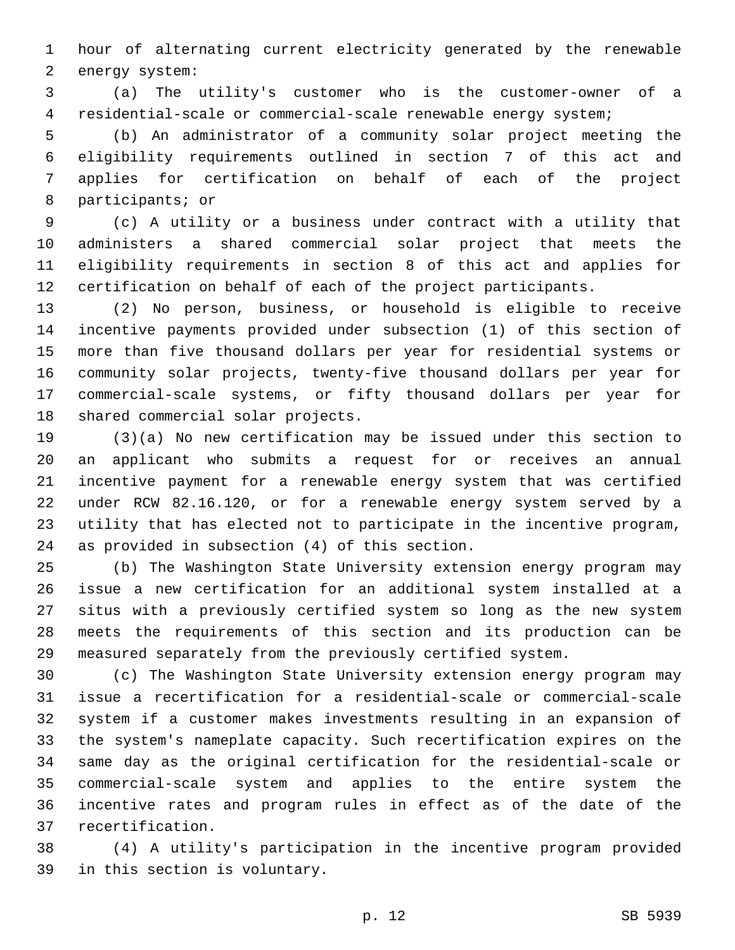hour of alternating current electricity generated by the renewable 2 energy system:

 (a) The utility's customer who is the customer-owner of a residential-scale or commercial-scale renewable energy system;

 (b) An administrator of a community solar project meeting the eligibility requirements outlined in section 7 of this act and applies for certification on behalf of each of the project 8 participants; or

 (c) A utility or a business under contract with a utility that administers a shared commercial solar project that meets the eligibility requirements in section 8 of this act and applies for certification on behalf of each of the project participants.

 (2) No person, business, or household is eligible to receive incentive payments provided under subsection (1) of this section of more than five thousand dollars per year for residential systems or community solar projects, twenty-five thousand dollars per year for commercial-scale systems, or fifty thousand dollars per year for 18 shared commercial solar projects.

 (3)(a) No new certification may be issued under this section to an applicant who submits a request for or receives an annual incentive payment for a renewable energy system that was certified under RCW 82.16.120, or for a renewable energy system served by a utility that has elected not to participate in the incentive program, 24 as provided in subsection (4) of this section.

 (b) The Washington State University extension energy program may issue a new certification for an additional system installed at a situs with a previously certified system so long as the new system meets the requirements of this section and its production can be measured separately from the previously certified system.

 (c) The Washington State University extension energy program may issue a recertification for a residential-scale or commercial-scale system if a customer makes investments resulting in an expansion of the system's nameplate capacity. Such recertification expires on the same day as the original certification for the residential-scale or commercial-scale system and applies to the entire system the incentive rates and program rules in effect as of the date of the 37 recertification.

 (4) A utility's participation in the incentive program provided 39 in this section is voluntary.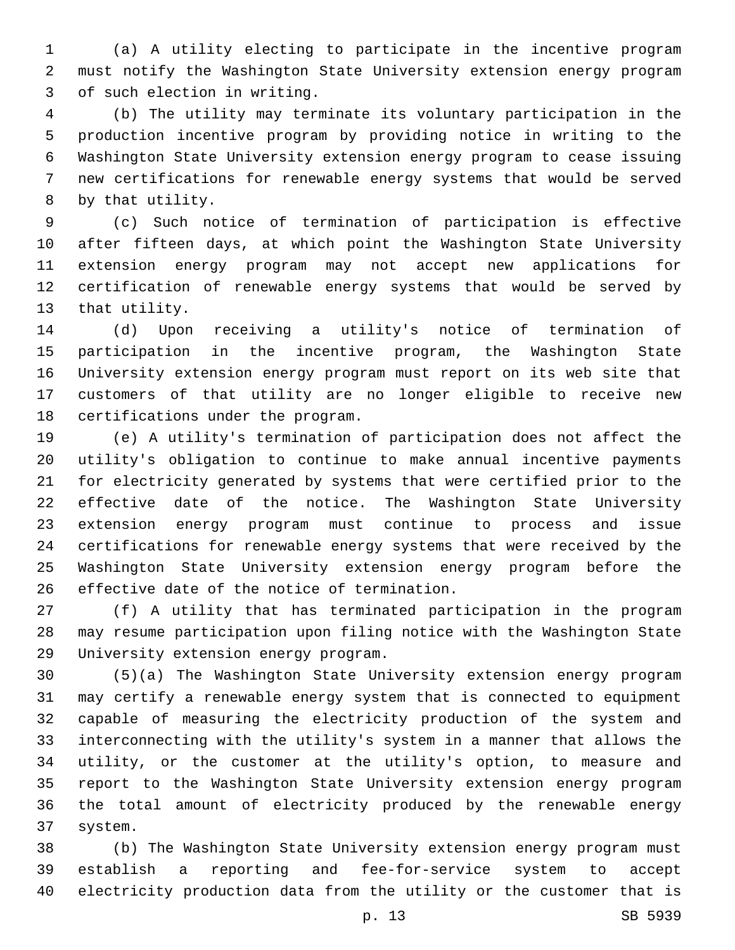(a) A utility electing to participate in the incentive program must notify the Washington State University extension energy program 3 of such election in writing.

 (b) The utility may terminate its voluntary participation in the production incentive program by providing notice in writing to the Washington State University extension energy program to cease issuing new certifications for renewable energy systems that would be served 8 by that utility.

 (c) Such notice of termination of participation is effective after fifteen days, at which point the Washington State University extension energy program may not accept new applications for certification of renewable energy systems that would be served by 13 that utility.

 (d) Upon receiving a utility's notice of termination of participation in the incentive program, the Washington State University extension energy program must report on its web site that customers of that utility are no longer eligible to receive new 18 certifications under the program.

 (e) A utility's termination of participation does not affect the utility's obligation to continue to make annual incentive payments for electricity generated by systems that were certified prior to the effective date of the notice. The Washington State University extension energy program must continue to process and issue certifications for renewable energy systems that were received by the Washington State University extension energy program before the 26 effective date of the notice of termination.

 (f) A utility that has terminated participation in the program may resume participation upon filing notice with the Washington State 29 University extension energy program.

 (5)(a) The Washington State University extension energy program may certify a renewable energy system that is connected to equipment capable of measuring the electricity production of the system and interconnecting with the utility's system in a manner that allows the utility, or the customer at the utility's option, to measure and report to the Washington State University extension energy program the total amount of electricity produced by the renewable energy system.37

 (b) The Washington State University extension energy program must establish a reporting and fee-for-service system to accept electricity production data from the utility or the customer that is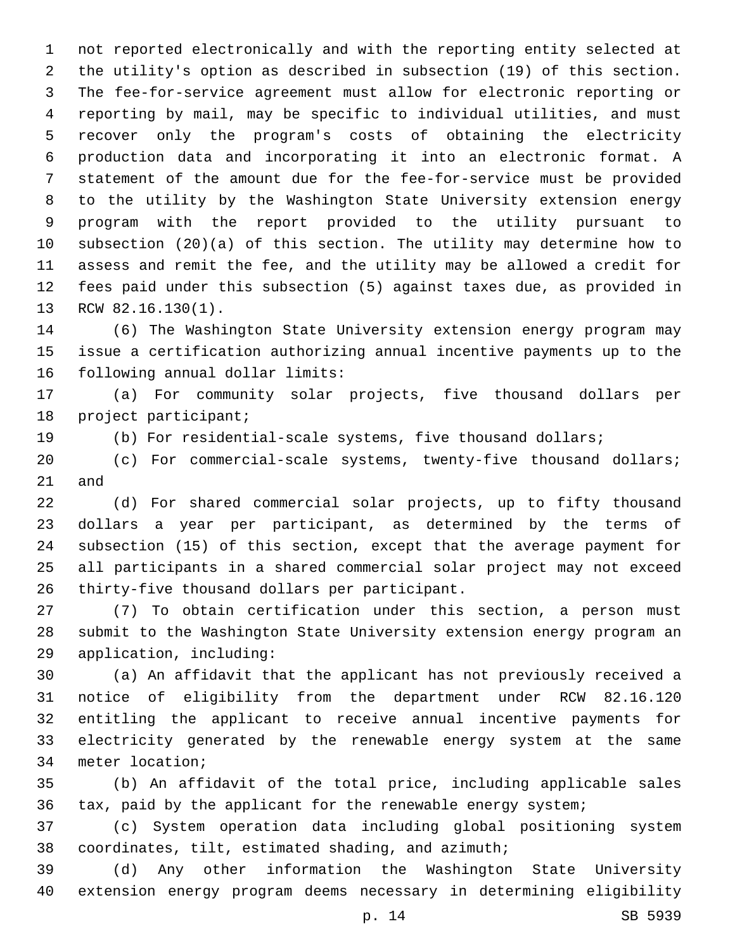not reported electronically and with the reporting entity selected at the utility's option as described in subsection (19) of this section. The fee-for-service agreement must allow for electronic reporting or reporting by mail, may be specific to individual utilities, and must recover only the program's costs of obtaining the electricity production data and incorporating it into an electronic format. A statement of the amount due for the fee-for-service must be provided to the utility by the Washington State University extension energy program with the report provided to the utility pursuant to subsection (20)(a) of this section. The utility may determine how to assess and remit the fee, and the utility may be allowed a credit for fees paid under this subsection (5) against taxes due, as provided in 13 RCW 82.16.130(1).

 (6) The Washington State University extension energy program may issue a certification authorizing annual incentive payments up to the 16 following annual dollar limits:

 (a) For community solar projects, five thousand dollars per 18 project participant;

(b) For residential-scale systems, five thousand dollars;

 (c) For commercial-scale systems, twenty-five thousand dollars; and

 (d) For shared commercial solar projects, up to fifty thousand dollars a year per participant, as determined by the terms of subsection (15) of this section, except that the average payment for all participants in a shared commercial solar project may not exceed 26 thirty-five thousand dollars per participant.

 (7) To obtain certification under this section, a person must submit to the Washington State University extension energy program an 29 application, including:

 (a) An affidavit that the applicant has not previously received a notice of eligibility from the department under RCW 82.16.120 entitling the applicant to receive annual incentive payments for electricity generated by the renewable energy system at the same 34 meter location;

 (b) An affidavit of the total price, including applicable sales tax, paid by the applicant for the renewable energy system;

 (c) System operation data including global positioning system coordinates, tilt, estimated shading, and azimuth;

 (d) Any other information the Washington State University extension energy program deems necessary in determining eligibility

p. 14 SB 5939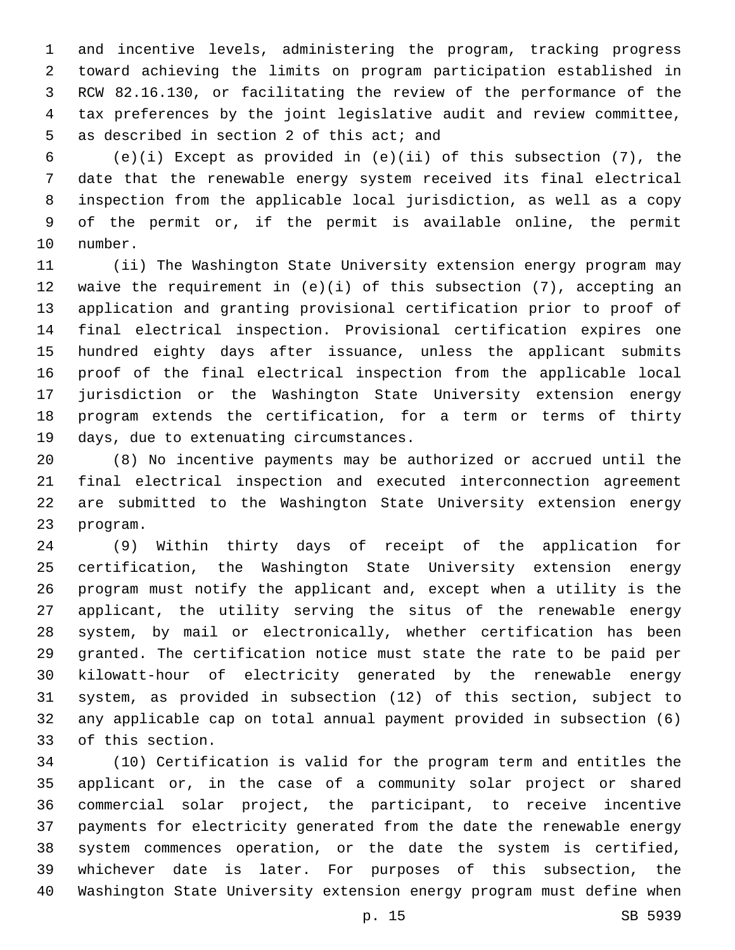and incentive levels, administering the program, tracking progress toward achieving the limits on program participation established in RCW 82.16.130, or facilitating the review of the performance of the tax preferences by the joint legislative audit and review committee, 5 as described in section 2 of this act; and

 (e)(i) Except as provided in (e)(ii) of this subsection (7), the date that the renewable energy system received its final electrical inspection from the applicable local jurisdiction, as well as a copy of the permit or, if the permit is available online, the permit 10 number.

 (ii) The Washington State University extension energy program may waive the requirement in (e)(i) of this subsection (7), accepting an application and granting provisional certification prior to proof of final electrical inspection. Provisional certification expires one hundred eighty days after issuance, unless the applicant submits proof of the final electrical inspection from the applicable local jurisdiction or the Washington State University extension energy program extends the certification, for a term or terms of thirty 19 days, due to extenuating circumstances.

 (8) No incentive payments may be authorized or accrued until the final electrical inspection and executed interconnection agreement are submitted to the Washington State University extension energy 23 program.

 (9) Within thirty days of receipt of the application for certification, the Washington State University extension energy program must notify the applicant and, except when a utility is the applicant, the utility serving the situs of the renewable energy system, by mail or electronically, whether certification has been granted. The certification notice must state the rate to be paid per kilowatt-hour of electricity generated by the renewable energy system, as provided in subsection (12) of this section, subject to any applicable cap on total annual payment provided in subsection (6) 33 of this section.

 (10) Certification is valid for the program term and entitles the applicant or, in the case of a community solar project or shared commercial solar project, the participant, to receive incentive payments for electricity generated from the date the renewable energy system commences operation, or the date the system is certified, whichever date is later. For purposes of this subsection, the Washington State University extension energy program must define when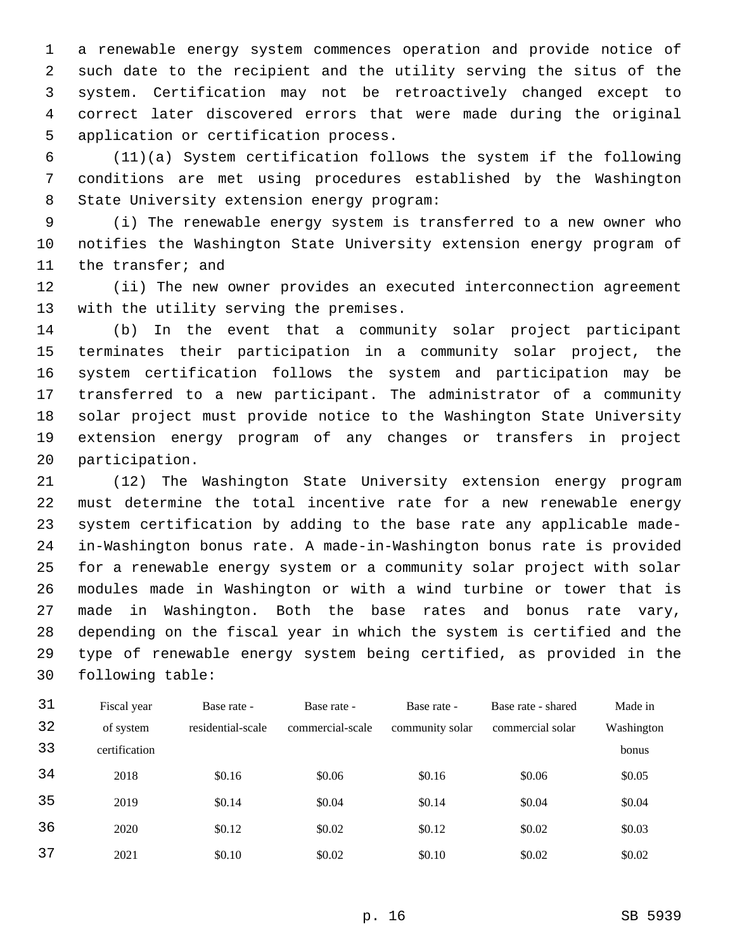a renewable energy system commences operation and provide notice of such date to the recipient and the utility serving the situs of the system. Certification may not be retroactively changed except to correct later discovered errors that were made during the original 5 application or certification process.

6 (11)(a) System certification follows the system if the following 7 conditions are met using procedures established by the Washington 8 State University extension energy program:

9 (i) The renewable energy system is transferred to a new owner who 10 notifies the Washington State University extension energy program of 11 the transfer; and

12 (ii) The new owner provides an executed interconnection agreement 13 with the utility serving the premises.

 (b) In the event that a community solar project participant terminates their participation in a community solar project, the system certification follows the system and participation may be transferred to a new participant. The administrator of a community solar project must provide notice to the Washington State University extension energy program of any changes or transfers in project 20 participation.

 (12) The Washington State University extension energy program must determine the total incentive rate for a new renewable energy system certification by adding to the base rate any applicable made- in-Washington bonus rate. A made-in-Washington bonus rate is provided for a renewable energy system or a community solar project with solar modules made in Washington or with a wind turbine or tower that is made in Washington. Both the base rates and bonus rate vary, depending on the fiscal year in which the system is certified and the type of renewable energy system being certified, as provided in the 30 following table:

| 31 | Fiscal year   | Base rate -       | Base rate -      | Base rate -     | Base rate - shared | Made in    |
|----|---------------|-------------------|------------------|-----------------|--------------------|------------|
| 32 | of system     | residential-scale | commercial-scale | community solar | commercial solar   | Washington |
| 33 | certification |                   |                  |                 |                    | bonus      |
| 34 | 2018          | \$0.16            | \$0.06           | \$0.16          | \$0.06             | \$0.05     |
| 35 | 2019          | \$0.14            | \$0.04           | \$0.14          | \$0.04             | \$0.04     |
| 36 | 2020          | \$0.12            | \$0.02           | \$0.12          | \$0.02             | \$0.03     |
| 37 | 2021          | \$0.10            | \$0.02           | \$0.10          | \$0.02             | \$0.02     |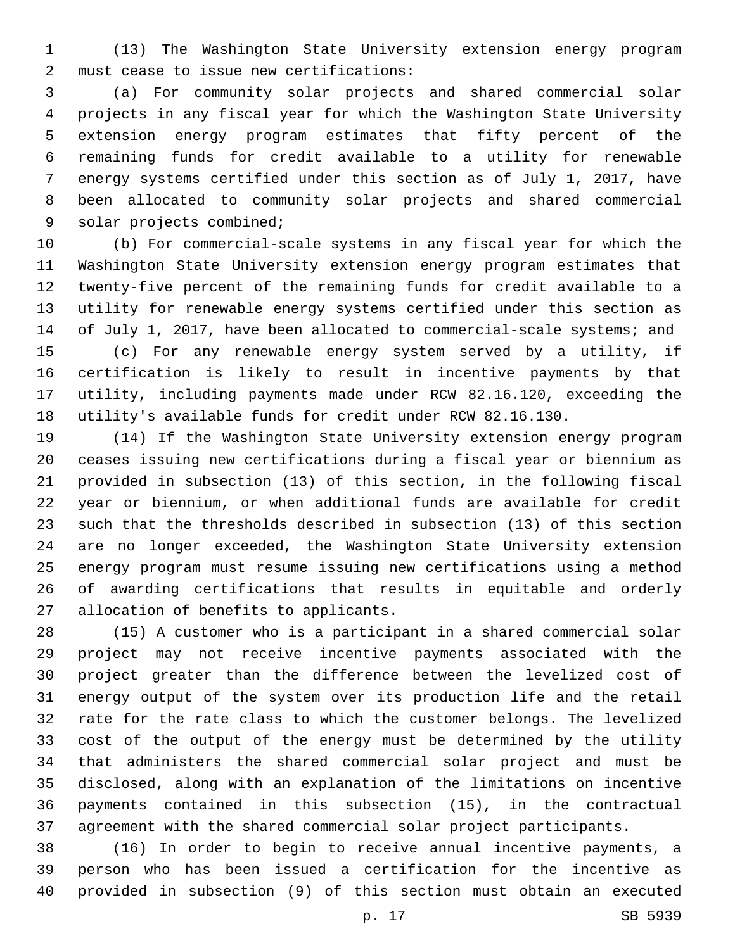(13) The Washington State University extension energy program must cease to issue new certifications:2

 (a) For community solar projects and shared commercial solar projects in any fiscal year for which the Washington State University extension energy program estimates that fifty percent of the remaining funds for credit available to a utility for renewable energy systems certified under this section as of July 1, 2017, have been allocated to community solar projects and shared commercial 9 solar projects combined;

 (b) For commercial-scale systems in any fiscal year for which the Washington State University extension energy program estimates that twenty-five percent of the remaining funds for credit available to a utility for renewable energy systems certified under this section as 14 of July 1, 2017, have been allocated to commercial-scale systems; and

 (c) For any renewable energy system served by a utility, if certification is likely to result in incentive payments by that utility, including payments made under RCW 82.16.120, exceeding the utility's available funds for credit under RCW 82.16.130.

 (14) If the Washington State University extension energy program ceases issuing new certifications during a fiscal year or biennium as provided in subsection (13) of this section, in the following fiscal year or biennium, or when additional funds are available for credit such that the thresholds described in subsection (13) of this section are no longer exceeded, the Washington State University extension energy program must resume issuing new certifications using a method of awarding certifications that results in equitable and orderly 27 allocation of benefits to applicants.

 (15) A customer who is a participant in a shared commercial solar project may not receive incentive payments associated with the project greater than the difference between the levelized cost of energy output of the system over its production life and the retail rate for the rate class to which the customer belongs. The levelized cost of the output of the energy must be determined by the utility that administers the shared commercial solar project and must be disclosed, along with an explanation of the limitations on incentive payments contained in this subsection (15), in the contractual agreement with the shared commercial solar project participants.

 (16) In order to begin to receive annual incentive payments, a person who has been issued a certification for the incentive as provided in subsection (9) of this section must obtain an executed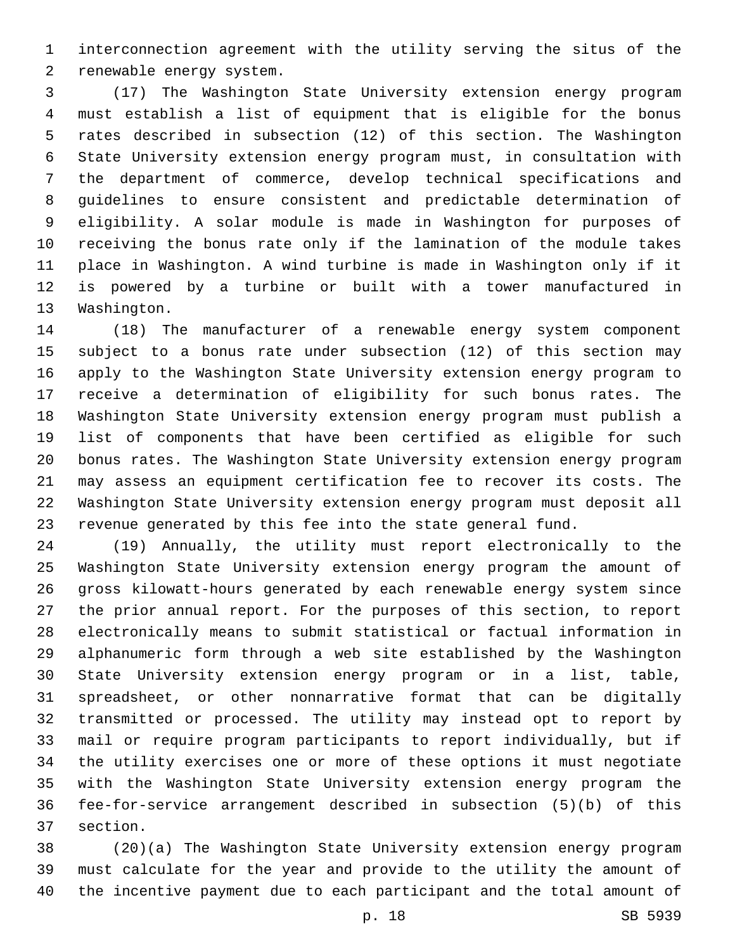interconnection agreement with the utility serving the situs of the 2 renewable energy system.

 (17) The Washington State University extension energy program must establish a list of equipment that is eligible for the bonus rates described in subsection (12) of this section. The Washington State University extension energy program must, in consultation with the department of commerce, develop technical specifications and guidelines to ensure consistent and predictable determination of eligibility. A solar module is made in Washington for purposes of receiving the bonus rate only if the lamination of the module takes place in Washington. A wind turbine is made in Washington only if it is powered by a turbine or built with a tower manufactured in 13 Washington.

 (18) The manufacturer of a renewable energy system component subject to a bonus rate under subsection (12) of this section may apply to the Washington State University extension energy program to receive a determination of eligibility for such bonus rates. The Washington State University extension energy program must publish a list of components that have been certified as eligible for such bonus rates. The Washington State University extension energy program may assess an equipment certification fee to recover its costs. The Washington State University extension energy program must deposit all revenue generated by this fee into the state general fund.

 (19) Annually, the utility must report electronically to the Washington State University extension energy program the amount of gross kilowatt-hours generated by each renewable energy system since the prior annual report. For the purposes of this section, to report electronically means to submit statistical or factual information in alphanumeric form through a web site established by the Washington State University extension energy program or in a list, table, spreadsheet, or other nonnarrative format that can be digitally transmitted or processed. The utility may instead opt to report by mail or require program participants to report individually, but if the utility exercises one or more of these options it must negotiate with the Washington State University extension energy program the fee-for-service arrangement described in subsection (5)(b) of this 37 section.

 (20)(a) The Washington State University extension energy program must calculate for the year and provide to the utility the amount of the incentive payment due to each participant and the total amount of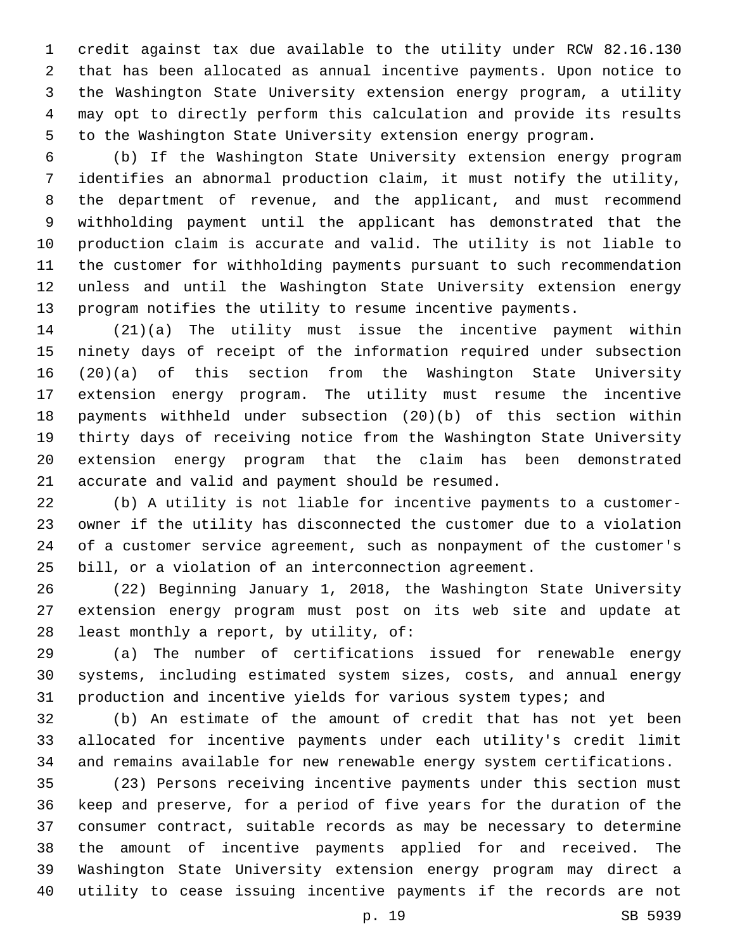credit against tax due available to the utility under RCW 82.16.130 that has been allocated as annual incentive payments. Upon notice to the Washington State University extension energy program, a utility may opt to directly perform this calculation and provide its results to the Washington State University extension energy program.

 (b) If the Washington State University extension energy program identifies an abnormal production claim, it must notify the utility, the department of revenue, and the applicant, and must recommend withholding payment until the applicant has demonstrated that the production claim is accurate and valid. The utility is not liable to the customer for withholding payments pursuant to such recommendation unless and until the Washington State University extension energy program notifies the utility to resume incentive payments.

 (21)(a) The utility must issue the incentive payment within ninety days of receipt of the information required under subsection (20)(a) of this section from the Washington State University extension energy program. The utility must resume the incentive payments withheld under subsection (20)(b) of this section within thirty days of receiving notice from the Washington State University extension energy program that the claim has been demonstrated 21 accurate and valid and payment should be resumed.

 (b) A utility is not liable for incentive payments to a customer- owner if the utility has disconnected the customer due to a violation of a customer service agreement, such as nonpayment of the customer's bill, or a violation of an interconnection agreement.

 (22) Beginning January 1, 2018, the Washington State University extension energy program must post on its web site and update at 28 least monthly a report, by utility, of:

 (a) The number of certifications issued for renewable energy systems, including estimated system sizes, costs, and annual energy production and incentive yields for various system types; and

 (b) An estimate of the amount of credit that has not yet been allocated for incentive payments under each utility's credit limit and remains available for new renewable energy system certifications.

 (23) Persons receiving incentive payments under this section must keep and preserve, for a period of five years for the duration of the consumer contract, suitable records as may be necessary to determine the amount of incentive payments applied for and received. The Washington State University extension energy program may direct a utility to cease issuing incentive payments if the records are not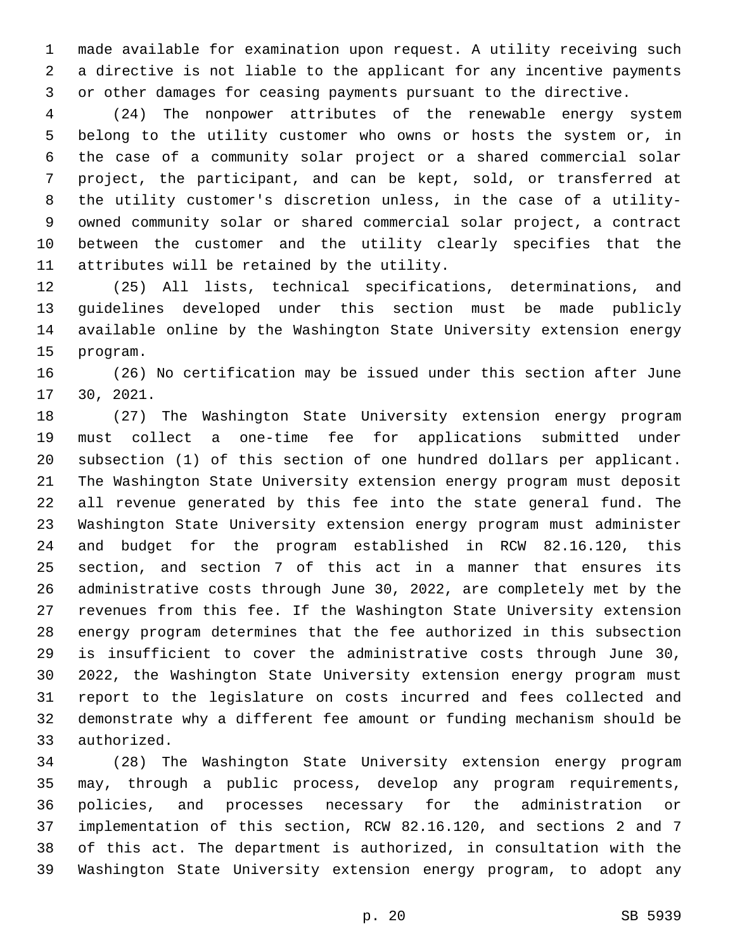made available for examination upon request. A utility receiving such a directive is not liable to the applicant for any incentive payments or other damages for ceasing payments pursuant to the directive.

 (24) The nonpower attributes of the renewable energy system belong to the utility customer who owns or hosts the system or, in the case of a community solar project or a shared commercial solar project, the participant, and can be kept, sold, or transferred at the utility customer's discretion unless, in the case of a utility- owned community solar or shared commercial solar project, a contract between the customer and the utility clearly specifies that the 11 attributes will be retained by the utility.

 (25) All lists, technical specifications, determinations, and guidelines developed under this section must be made publicly available online by the Washington State University extension energy 15 program.

 (26) No certification may be issued under this section after June 17 30, 2021.

 (27) The Washington State University extension energy program must collect a one-time fee for applications submitted under subsection (1) of this section of one hundred dollars per applicant. The Washington State University extension energy program must deposit all revenue generated by this fee into the state general fund. The Washington State University extension energy program must administer and budget for the program established in RCW 82.16.120, this section, and section 7 of this act in a manner that ensures its administrative costs through June 30, 2022, are completely met by the revenues from this fee. If the Washington State University extension energy program determines that the fee authorized in this subsection is insufficient to cover the administrative costs through June 30, 2022, the Washington State University extension energy program must report to the legislature on costs incurred and fees collected and demonstrate why a different fee amount or funding mechanism should be 33 authorized.

 (28) The Washington State University extension energy program may, through a public process, develop any program requirements, policies, and processes necessary for the administration or implementation of this section, RCW 82.16.120, and sections 2 and 7 of this act. The department is authorized, in consultation with the Washington State University extension energy program, to adopt any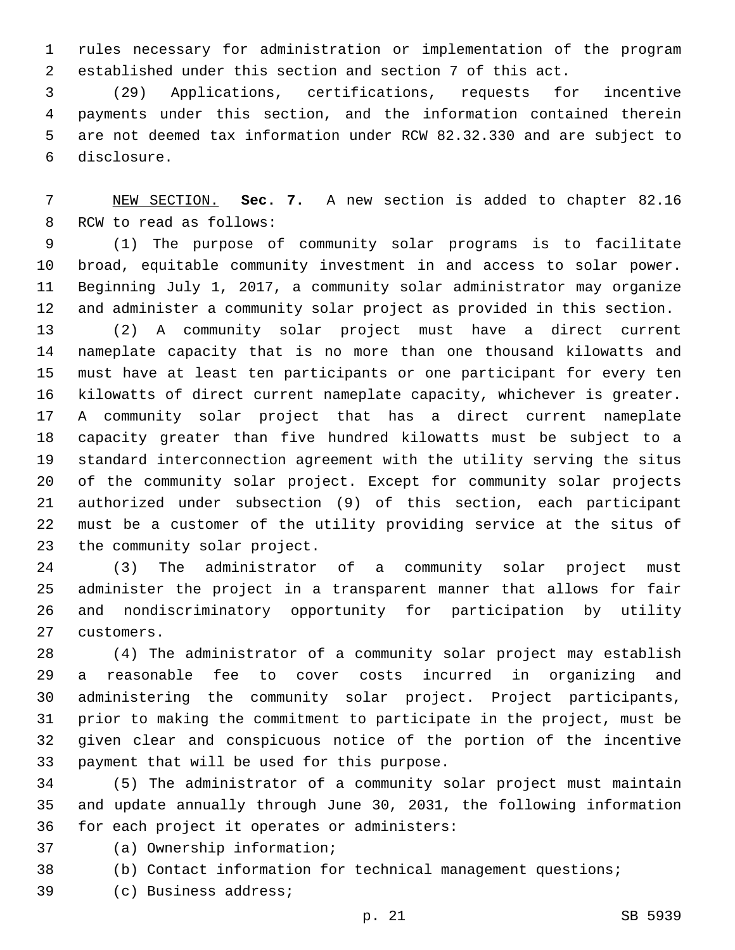rules necessary for administration or implementation of the program established under this section and section 7 of this act.

 (29) Applications, certifications, requests for incentive payments under this section, and the information contained therein are not deemed tax information under RCW 82.32.330 and are subject to disclosure.6

 NEW SECTION. **Sec. 7.** A new section is added to chapter 82.16 8 RCW to read as follows:

 (1) The purpose of community solar programs is to facilitate broad, equitable community investment in and access to solar power. Beginning July 1, 2017, a community solar administrator may organize and administer a community solar project as provided in this section.

 (2) A community solar project must have a direct current nameplate capacity that is no more than one thousand kilowatts and must have at least ten participants or one participant for every ten kilowatts of direct current nameplate capacity, whichever is greater. A community solar project that has a direct current nameplate capacity greater than five hundred kilowatts must be subject to a standard interconnection agreement with the utility serving the situs of the community solar project. Except for community solar projects authorized under subsection (9) of this section, each participant must be a customer of the utility providing service at the situs of 23 the community solar project.

 (3) The administrator of a community solar project must administer the project in a transparent manner that allows for fair and nondiscriminatory opportunity for participation by utility 27 customers.

 (4) The administrator of a community solar project may establish a reasonable fee to cover costs incurred in organizing and administering the community solar project. Project participants, prior to making the commitment to participate in the project, must be given clear and conspicuous notice of the portion of the incentive 33 payment that will be used for this purpose.

 (5) The administrator of a community solar project must maintain and update annually through June 30, 2031, the following information 36 for each project it operates or administers:

37 (a) Ownership information;

(b) Contact information for technical management questions;

39 (c) Business address;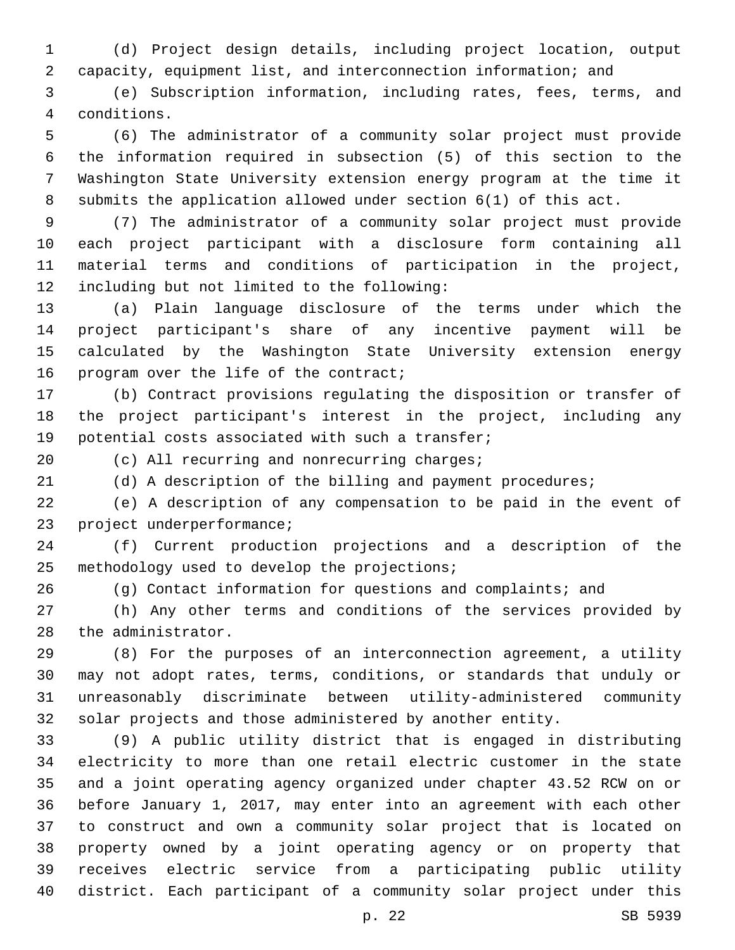(d) Project design details, including project location, output capacity, equipment list, and interconnection information; and

 (e) Subscription information, including rates, fees, terms, and conditions.4

 (6) The administrator of a community solar project must provide the information required in subsection (5) of this section to the Washington State University extension energy program at the time it submits the application allowed under section 6(1) of this act.

 (7) The administrator of a community solar project must provide each project participant with a disclosure form containing all material terms and conditions of participation in the project, 12 including but not limited to the following:

 (a) Plain language disclosure of the terms under which the project participant's share of any incentive payment will be calculated by the Washington State University extension energy 16 program over the life of the contract;

 (b) Contract provisions regulating the disposition or transfer of the project participant's interest in the project, including any 19 potential costs associated with such a transfer;

20 (c) All recurring and nonrecurring charges;

(d) A description of the billing and payment procedures;

 (e) A description of any compensation to be paid in the event of 23 project underperformance;

 (f) Current production projections and a description of the 25 methodology used to develop the projections;

(g) Contact information for questions and complaints; and

 (h) Any other terms and conditions of the services provided by 28 the administrator.

 (8) For the purposes of an interconnection agreement, a utility may not adopt rates, terms, conditions, or standards that unduly or unreasonably discriminate between utility-administered community solar projects and those administered by another entity.

 (9) A public utility district that is engaged in distributing electricity to more than one retail electric customer in the state and a joint operating agency organized under chapter 43.52 RCW on or before January 1, 2017, may enter into an agreement with each other to construct and own a community solar project that is located on property owned by a joint operating agency or on property that receives electric service from a participating public utility district. Each participant of a community solar project under this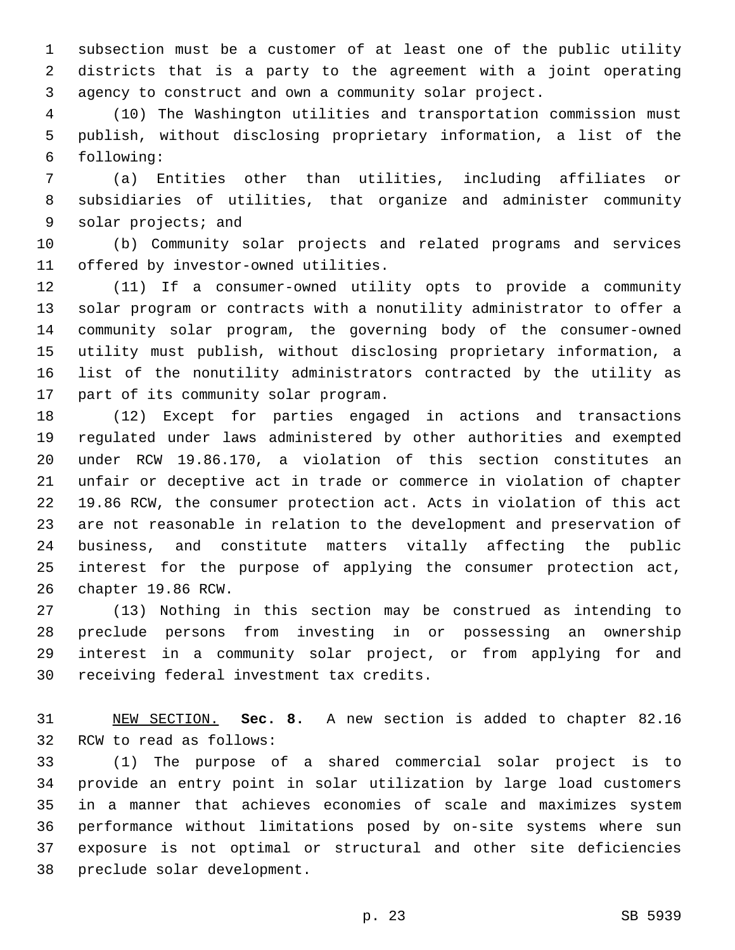subsection must be a customer of at least one of the public utility districts that is a party to the agreement with a joint operating agency to construct and own a community solar project.

 (10) The Washington utilities and transportation commission must publish, without disclosing proprietary information, a list of the following:6

 (a) Entities other than utilities, including affiliates or subsidiaries of utilities, that organize and administer community 9 solar projects; and

 (b) Community solar projects and related programs and services 11 offered by investor-owned utilities.

 (11) If a consumer-owned utility opts to provide a community solar program or contracts with a nonutility administrator to offer a community solar program, the governing body of the consumer-owned utility must publish, without disclosing proprietary information, a list of the nonutility administrators contracted by the utility as 17 part of its community solar program.

 (12) Except for parties engaged in actions and transactions regulated under laws administered by other authorities and exempted under RCW 19.86.170, a violation of this section constitutes an unfair or deceptive act in trade or commerce in violation of chapter 19.86 RCW, the consumer protection act. Acts in violation of this act are not reasonable in relation to the development and preservation of business, and constitute matters vitally affecting the public interest for the purpose of applying the consumer protection act, 26 chapter 19.86 RCW.

 (13) Nothing in this section may be construed as intending to preclude persons from investing in or possessing an ownership interest in a community solar project, or from applying for and 30 receiving federal investment tax credits.

 NEW SECTION. **Sec. 8.** A new section is added to chapter 82.16 32 RCW to read as follows:

 (1) The purpose of a shared commercial solar project is to provide an entry point in solar utilization by large load customers in a manner that achieves economies of scale and maximizes system performance without limitations posed by on-site systems where sun exposure is not optimal or structural and other site deficiencies 38 preclude solar development.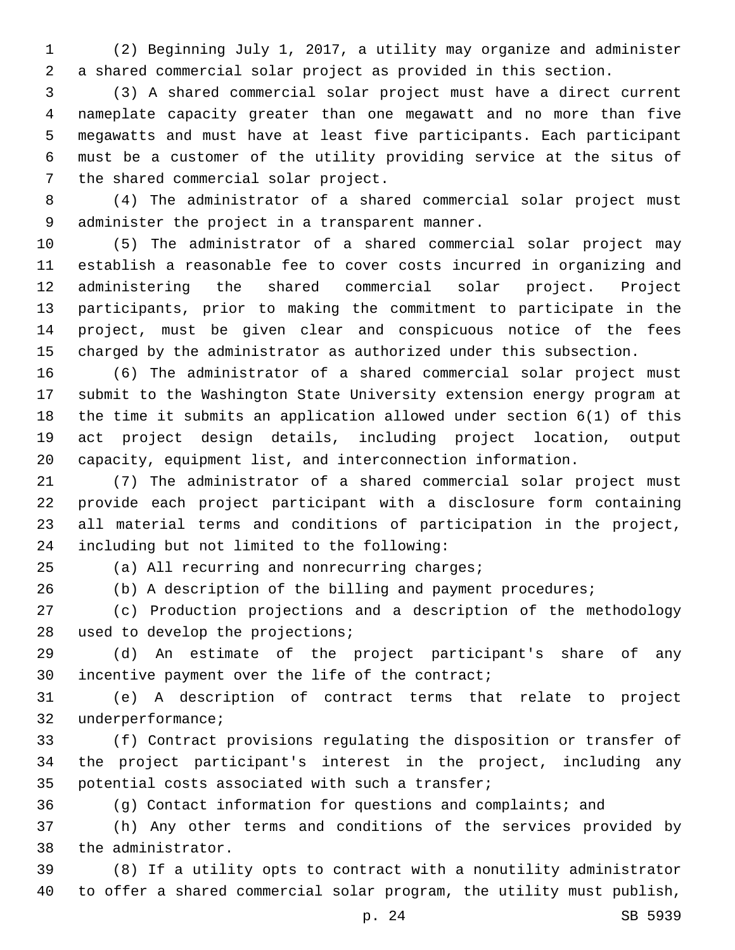(2) Beginning July 1, 2017, a utility may organize and administer a shared commercial solar project as provided in this section.

 (3) A shared commercial solar project must have a direct current nameplate capacity greater than one megawatt and no more than five megawatts and must have at least five participants. Each participant must be a customer of the utility providing service at the situs of 7 the shared commercial solar project.

 (4) The administrator of a shared commercial solar project must 9 administer the project in a transparent manner.

 (5) The administrator of a shared commercial solar project may establish a reasonable fee to cover costs incurred in organizing and administering the shared commercial solar project. Project participants, prior to making the commitment to participate in the project, must be given clear and conspicuous notice of the fees charged by the administrator as authorized under this subsection.

 (6) The administrator of a shared commercial solar project must submit to the Washington State University extension energy program at the time it submits an application allowed under section 6(1) of this act project design details, including project location, output capacity, equipment list, and interconnection information.

 (7) The administrator of a shared commercial solar project must provide each project participant with a disclosure form containing all material terms and conditions of participation in the project, 24 including but not limited to the following:

(a) All recurring and nonrecurring charges;

(b) A description of the billing and payment procedures;

 (c) Production projections and a description of the methodology 28 used to develop the projections;

 (d) An estimate of the project participant's share of any 30 incentive payment over the life of the contract;

 (e) A description of contract terms that relate to project 32 underperformance;

 (f) Contract provisions regulating the disposition or transfer of the project participant's interest in the project, including any 35 potential costs associated with such a transfer;

(g) Contact information for questions and complaints; and

 (h) Any other terms and conditions of the services provided by 38 the administrator.

 (8) If a utility opts to contract with a nonutility administrator to offer a shared commercial solar program, the utility must publish,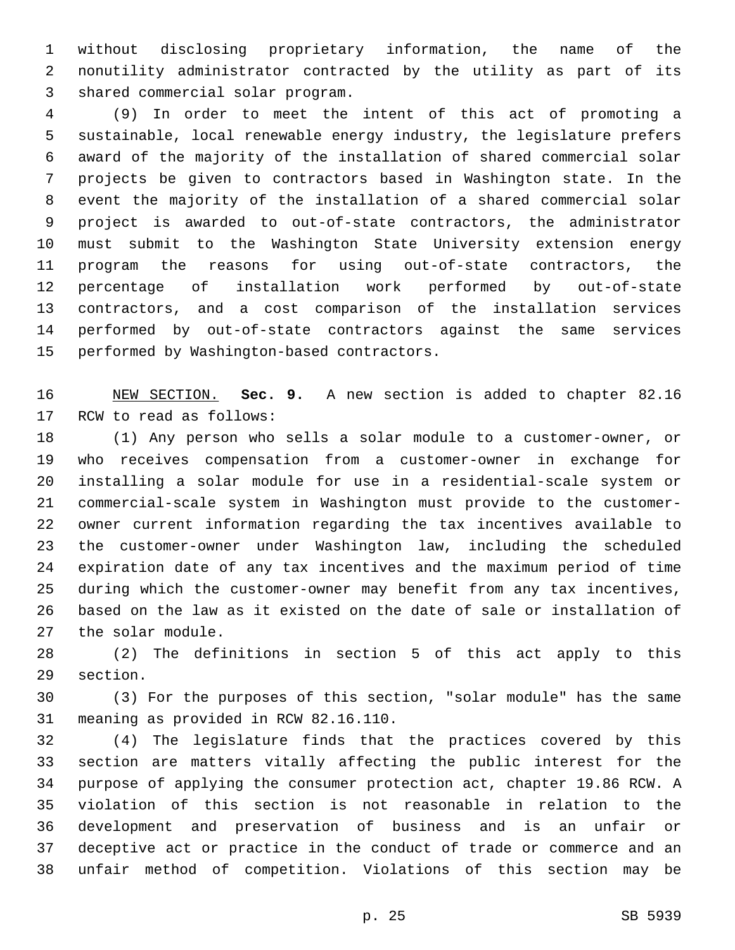without disclosing proprietary information, the name of the nonutility administrator contracted by the utility as part of its 3 shared commercial solar program.

 (9) In order to meet the intent of this act of promoting a sustainable, local renewable energy industry, the legislature prefers award of the majority of the installation of shared commercial solar projects be given to contractors based in Washington state. In the event the majority of the installation of a shared commercial solar project is awarded to out-of-state contractors, the administrator must submit to the Washington State University extension energy program the reasons for using out-of-state contractors, the percentage of installation work performed by out-of-state contractors, and a cost comparison of the installation services performed by out-of-state contractors against the same services 15 performed by Washington-based contractors.

 NEW SECTION. **Sec. 9.** A new section is added to chapter 82.16 17 RCW to read as follows:

 (1) Any person who sells a solar module to a customer-owner, or who receives compensation from a customer-owner in exchange for installing a solar module for use in a residential-scale system or commercial-scale system in Washington must provide to the customer- owner current information regarding the tax incentives available to the customer-owner under Washington law, including the scheduled expiration date of any tax incentives and the maximum period of time during which the customer-owner may benefit from any tax incentives, based on the law as it existed on the date of sale or installation of 27 the solar module.

 (2) The definitions in section 5 of this act apply to this 29 section.

 (3) For the purposes of this section, "solar module" has the same 31 meaning as provided in RCW 82.16.110.

 (4) The legislature finds that the practices covered by this section are matters vitally affecting the public interest for the purpose of applying the consumer protection act, chapter 19.86 RCW. A violation of this section is not reasonable in relation to the development and preservation of business and is an unfair or deceptive act or practice in the conduct of trade or commerce and an unfair method of competition. Violations of this section may be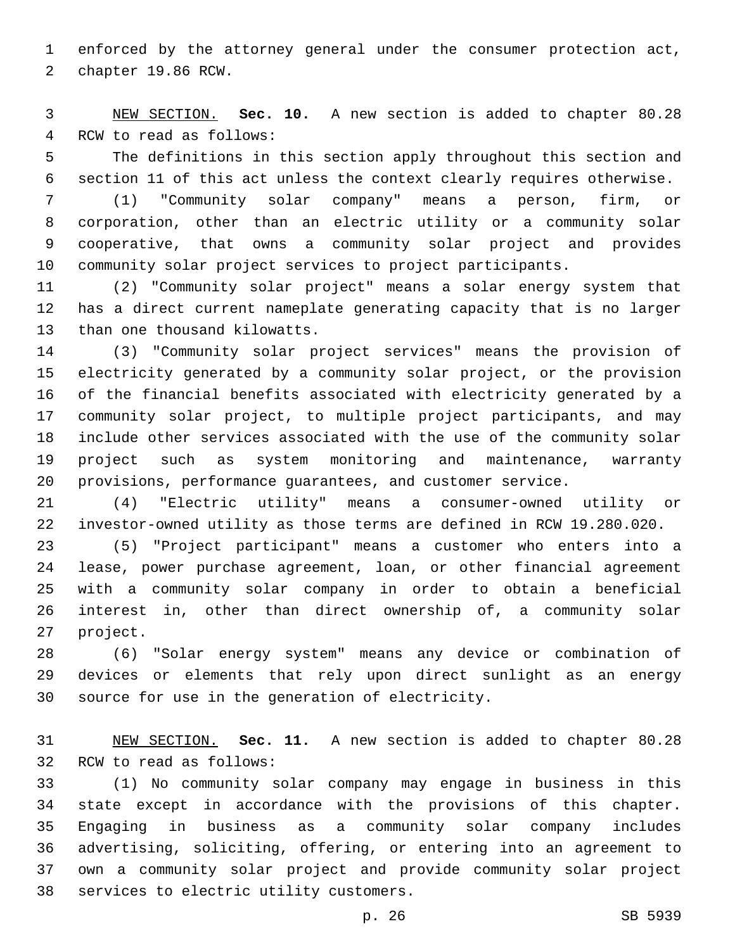enforced by the attorney general under the consumer protection act, 2 chapter 19.86 RCW.

 NEW SECTION. **Sec. 10.** A new section is added to chapter 80.28 4 RCW to read as follows:

 The definitions in this section apply throughout this section and section 11 of this act unless the context clearly requires otherwise.

 (1) "Community solar company" means a person, firm, or corporation, other than an electric utility or a community solar cooperative, that owns a community solar project and provides community solar project services to project participants.

 (2) "Community solar project" means a solar energy system that has a direct current nameplate generating capacity that is no larger 13 than one thousand kilowatts.

 (3) "Community solar project services" means the provision of electricity generated by a community solar project, or the provision of the financial benefits associated with electricity generated by a community solar project, to multiple project participants, and may include other services associated with the use of the community solar project such as system monitoring and maintenance, warranty provisions, performance guarantees, and customer service.

 (4) "Electric utility" means a consumer-owned utility or investor-owned utility as those terms are defined in RCW 19.280.020.

 (5) "Project participant" means a customer who enters into a lease, power purchase agreement, loan, or other financial agreement with a community solar company in order to obtain a beneficial interest in, other than direct ownership of, a community solar 27 project.

 (6) "Solar energy system" means any device or combination of devices or elements that rely upon direct sunlight as an energy 30 source for use in the generation of electricity.

 NEW SECTION. **Sec. 11.** A new section is added to chapter 80.28 32 RCW to read as follows:

 (1) No community solar company may engage in business in this state except in accordance with the provisions of this chapter. Engaging in business as a community solar company includes advertising, soliciting, offering, or entering into an agreement to own a community solar project and provide community solar project 38 services to electric utility customers.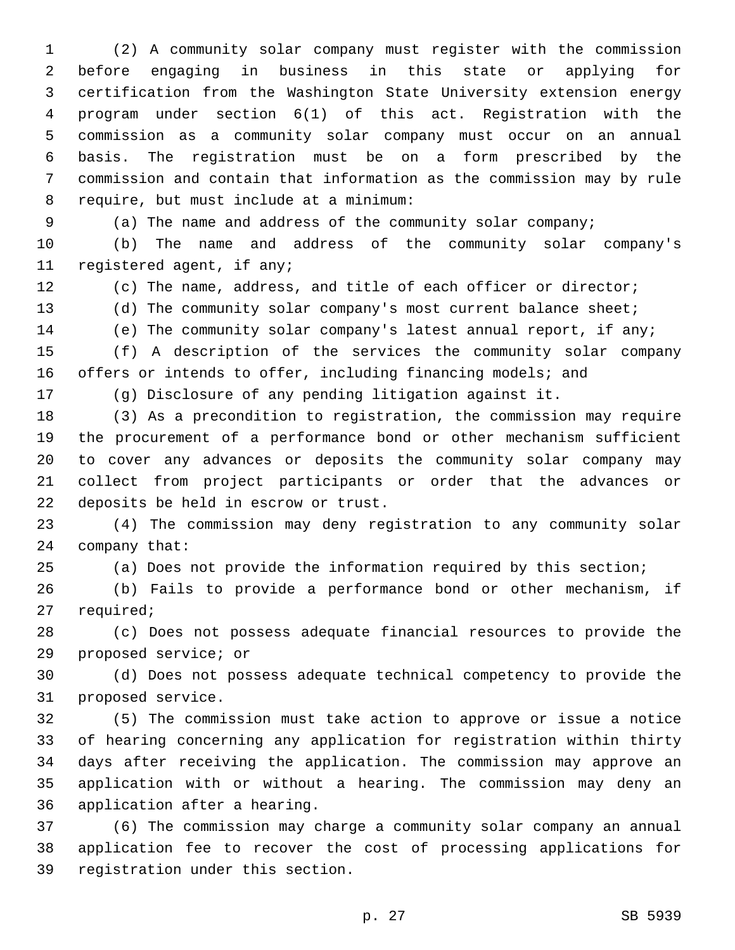(2) A community solar company must register with the commission before engaging in business in this state or applying for certification from the Washington State University extension energy program under section 6(1) of this act. Registration with the commission as a community solar company must occur on an annual basis. The registration must be on a form prescribed by the commission and contain that information as the commission may by rule 8 require, but must include at a minimum:

(a) The name and address of the community solar company;

 (b) The name and address of the community solar company's 11 registered agent, if any;

(c) The name, address, and title of each officer or director;

(d) The community solar company's most current balance sheet;

(e) The community solar company's latest annual report, if any;

 (f) A description of the services the community solar company 16 offers or intends to offer, including financing models; and

(g) Disclosure of any pending litigation against it.

 (3) As a precondition to registration, the commission may require the procurement of a performance bond or other mechanism sufficient to cover any advances or deposits the community solar company may collect from project participants or order that the advances or 22 deposits be held in escrow or trust.

 (4) The commission may deny registration to any community solar 24 company that:

(a) Does not provide the information required by this section;

 (b) Fails to provide a performance bond or other mechanism, if 27 required;

 (c) Does not possess adequate financial resources to provide the 29 proposed service; or

 (d) Does not possess adequate technical competency to provide the 31 proposed service.

 (5) The commission must take action to approve or issue a notice of hearing concerning any application for registration within thirty days after receiving the application. The commission may approve an application with or without a hearing. The commission may deny an 36 application after a hearing.

 (6) The commission may charge a community solar company an annual application fee to recover the cost of processing applications for 39 registration under this section.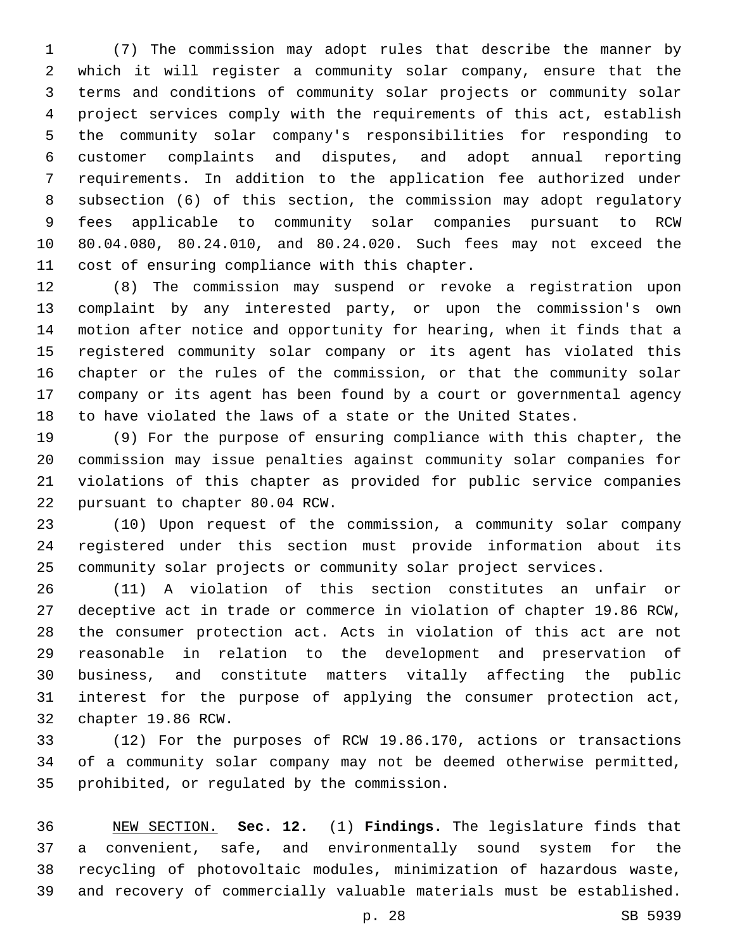(7) The commission may adopt rules that describe the manner by which it will register a community solar company, ensure that the terms and conditions of community solar projects or community solar project services comply with the requirements of this act, establish the community solar company's responsibilities for responding to customer complaints and disputes, and adopt annual reporting requirements. In addition to the application fee authorized under subsection (6) of this section, the commission may adopt regulatory fees applicable to community solar companies pursuant to RCW 80.04.080, 80.24.010, and 80.24.020. Such fees may not exceed the 11 cost of ensuring compliance with this chapter.

 (8) The commission may suspend or revoke a registration upon complaint by any interested party, or upon the commission's own motion after notice and opportunity for hearing, when it finds that a registered community solar company or its agent has violated this chapter or the rules of the commission, or that the community solar company or its agent has been found by a court or governmental agency to have violated the laws of a state or the United States.

 (9) For the purpose of ensuring compliance with this chapter, the commission may issue penalties against community solar companies for violations of this chapter as provided for public service companies 22 pursuant to chapter 80.04 RCW.

 (10) Upon request of the commission, a community solar company registered under this section must provide information about its community solar projects or community solar project services.

 (11) A violation of this section constitutes an unfair or deceptive act in trade or commerce in violation of chapter 19.86 RCW, the consumer protection act. Acts in violation of this act are not reasonable in relation to the development and preservation of business, and constitute matters vitally affecting the public interest for the purpose of applying the consumer protection act, 32 chapter 19.86 RCW.

 (12) For the purposes of RCW 19.86.170, actions or transactions of a community solar company may not be deemed otherwise permitted, 35 prohibited, or regulated by the commission.

 NEW SECTION. **Sec. 12.** (1) **Findings.** The legislature finds that a convenient, safe, and environmentally sound system for the recycling of photovoltaic modules, minimization of hazardous waste, and recovery of commercially valuable materials must be established.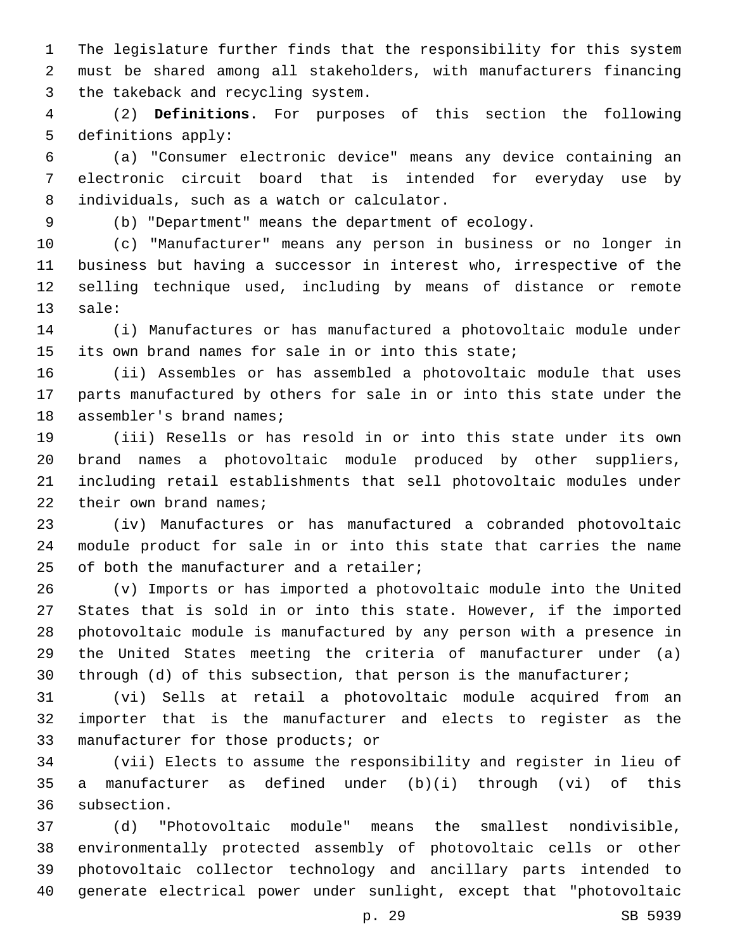The legislature further finds that the responsibility for this system must be shared among all stakeholders, with manufacturers financing 3 the takeback and recycling system.

 (2) **Definitions.** For purposes of this section the following 5 definitions apply:

 (a) "Consumer electronic device" means any device containing an electronic circuit board that is intended for everyday use by 8 individuals, such as a watch or calculator.

(b) "Department" means the department of ecology.

 (c) "Manufacturer" means any person in business or no longer in business but having a successor in interest who, irrespective of the selling technique used, including by means of distance or remote 13 sale:

 (i) Manufactures or has manufactured a photovoltaic module under its own brand names for sale in or into this state;

 (ii) Assembles or has assembled a photovoltaic module that uses parts manufactured by others for sale in or into this state under the 18 assembler's brand names;

 (iii) Resells or has resold in or into this state under its own brand names a photovoltaic module produced by other suppliers, including retail establishments that sell photovoltaic modules under 22 their own brand names;

 (iv) Manufactures or has manufactured a cobranded photovoltaic module product for sale in or into this state that carries the name 25 of both the manufacturer and a retailer;

 (v) Imports or has imported a photovoltaic module into the United States that is sold in or into this state. However, if the imported photovoltaic module is manufactured by any person with a presence in the United States meeting the criteria of manufacturer under (a) through (d) of this subsection, that person is the manufacturer;

 (vi) Sells at retail a photovoltaic module acquired from an importer that is the manufacturer and elects to register as the 33 manufacturer for those products; or

 (vii) Elects to assume the responsibility and register in lieu of a manufacturer as defined under (b)(i) through (vi) of this 36 subsection.

 (d) "Photovoltaic module" means the smallest nondivisible, environmentally protected assembly of photovoltaic cells or other photovoltaic collector technology and ancillary parts intended to generate electrical power under sunlight, except that "photovoltaic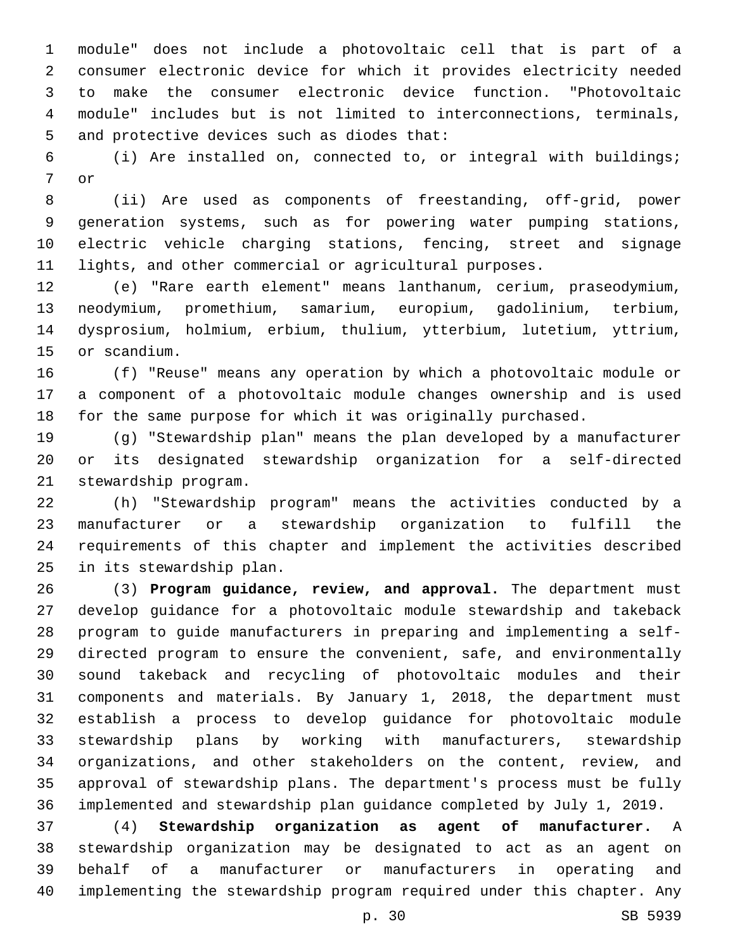module" does not include a photovoltaic cell that is part of a consumer electronic device for which it provides electricity needed to make the consumer electronic device function. "Photovoltaic module" includes but is not limited to interconnections, terminals, 5 and protective devices such as diodes that:

 (i) Are installed on, connected to, or integral with buildings; 7 or

 (ii) Are used as components of freestanding, off-grid, power generation systems, such as for powering water pumping stations, electric vehicle charging stations, fencing, street and signage lights, and other commercial or agricultural purposes.

 (e) "Rare earth element" means lanthanum, cerium, praseodymium, neodymium, promethium, samarium, europium, gadolinium, terbium, dysprosium, holmium, erbium, thulium, ytterbium, lutetium, yttrium, 15 or scandium.

 (f) "Reuse" means any operation by which a photovoltaic module or a component of a photovoltaic module changes ownership and is used for the same purpose for which it was originally purchased.

 (g) "Stewardship plan" means the plan developed by a manufacturer or its designated stewardship organization for a self-directed 21 stewardship program.

 (h) "Stewardship program" means the activities conducted by a manufacturer or a stewardship organization to fulfill the requirements of this chapter and implement the activities described 25 in its stewardship plan.

 (3) **Program guidance, review, and approval.** The department must develop guidance for a photovoltaic module stewardship and takeback program to guide manufacturers in preparing and implementing a self- directed program to ensure the convenient, safe, and environmentally sound takeback and recycling of photovoltaic modules and their components and materials. By January 1, 2018, the department must establish a process to develop guidance for photovoltaic module stewardship plans by working with manufacturers, stewardship organizations, and other stakeholders on the content, review, and approval of stewardship plans. The department's process must be fully implemented and stewardship plan guidance completed by July 1, 2019.

 (4) **Stewardship organization as agent of manufacturer.** A stewardship organization may be designated to act as an agent on behalf of a manufacturer or manufacturers in operating and implementing the stewardship program required under this chapter. Any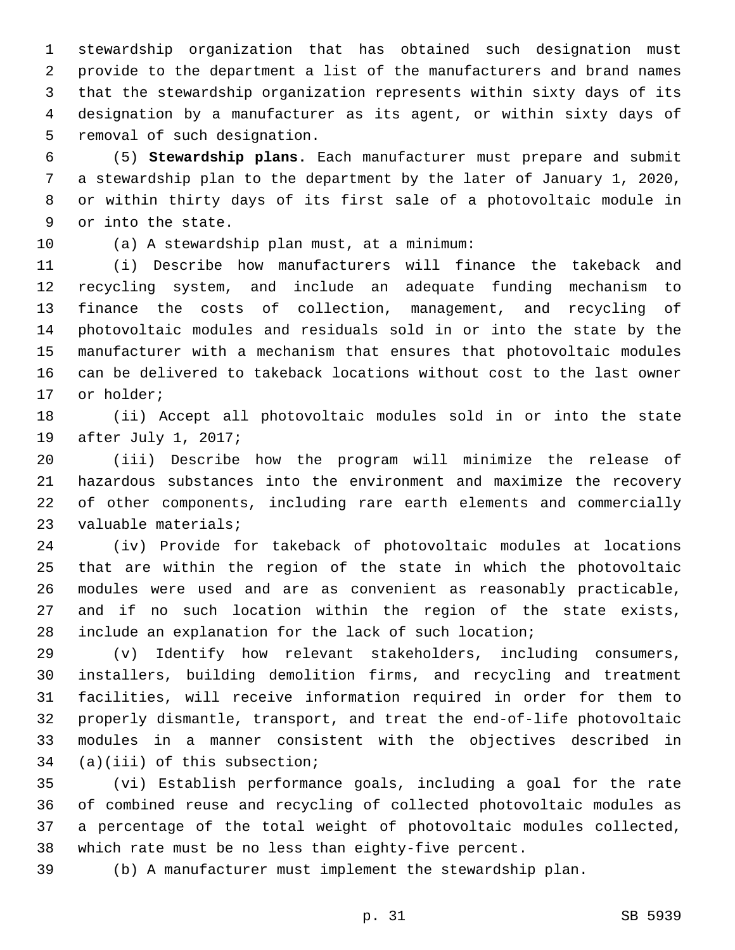stewardship organization that has obtained such designation must provide to the department a list of the manufacturers and brand names that the stewardship organization represents within sixty days of its designation by a manufacturer as its agent, or within sixty days of 5 removal of such designation.

 (5) **Stewardship plans.** Each manufacturer must prepare and submit a stewardship plan to the department by the later of January 1, 2020, or within thirty days of its first sale of a photovoltaic module in 9 or into the state.

10 (a) A stewardship plan must, at a minimum:

 (i) Describe how manufacturers will finance the takeback and recycling system, and include an adequate funding mechanism to finance the costs of collection, management, and recycling of photovoltaic modules and residuals sold in or into the state by the manufacturer with a mechanism that ensures that photovoltaic modules can be delivered to takeback locations without cost to the last owner 17 or holder;

 (ii) Accept all photovoltaic modules sold in or into the state 19 after July 1, 2017;

 (iii) Describe how the program will minimize the release of hazardous substances into the environment and maximize the recovery of other components, including rare earth elements and commercially 23 valuable materials;

 (iv) Provide for takeback of photovoltaic modules at locations that are within the region of the state in which the photovoltaic modules were used and are as convenient as reasonably practicable, and if no such location within the region of the state exists, include an explanation for the lack of such location;

 (v) Identify how relevant stakeholders, including consumers, installers, building demolition firms, and recycling and treatment facilities, will receive information required in order for them to properly dismantle, transport, and treat the end-of-life photovoltaic modules in a manner consistent with the objectives described in (a)(iii) of this subsection;

 (vi) Establish performance goals, including a goal for the rate of combined reuse and recycling of collected photovoltaic modules as a percentage of the total weight of photovoltaic modules collected, which rate must be no less than eighty-five percent.

(b) A manufacturer must implement the stewardship plan.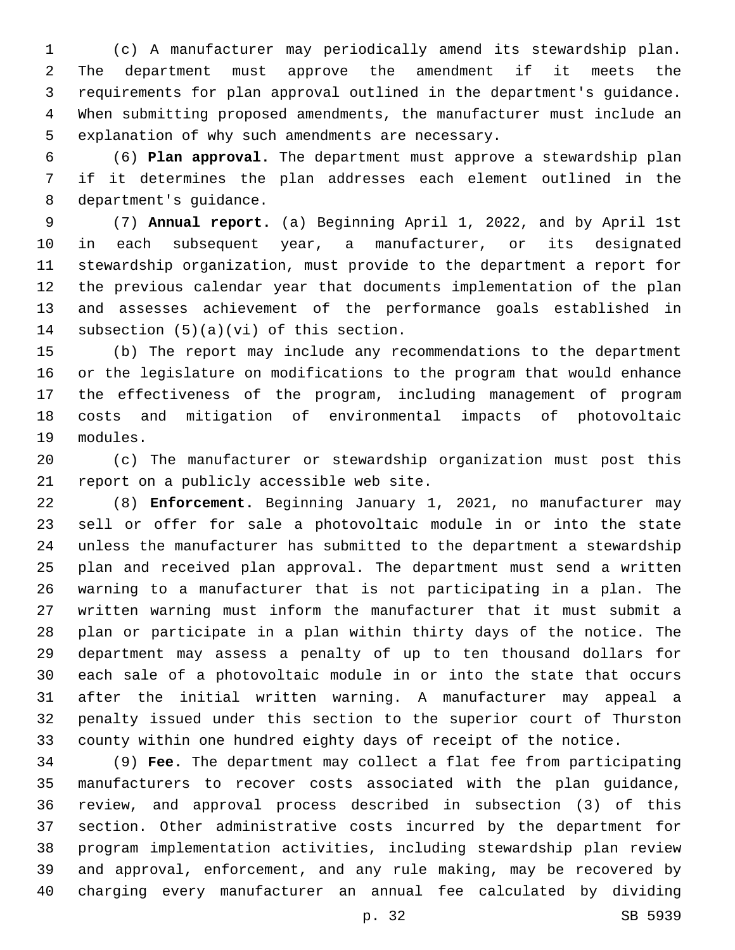(c) A manufacturer may periodically amend its stewardship plan. The department must approve the amendment if it meets the requirements for plan approval outlined in the department's guidance. When submitting proposed amendments, the manufacturer must include an 5 explanation of why such amendments are necessary.

 (6) **Plan approval.** The department must approve a stewardship plan if it determines the plan addresses each element outlined in the 8 department's quidance.

 (7) **Annual report.** (a) Beginning April 1, 2022, and by April 1st in each subsequent year, a manufacturer, or its designated stewardship organization, must provide to the department a report for the previous calendar year that documents implementation of the plan and assesses achievement of the performance goals established in 14 subsection  $(5)(a)(vi)$  of this section.

 (b) The report may include any recommendations to the department or the legislature on modifications to the program that would enhance the effectiveness of the program, including management of program costs and mitigation of environmental impacts of photovoltaic 19 modules.

 (c) The manufacturer or stewardship organization must post this 21 report on a publicly accessible web site.

 (8) **Enforcement.** Beginning January 1, 2021, no manufacturer may sell or offer for sale a photovoltaic module in or into the state unless the manufacturer has submitted to the department a stewardship plan and received plan approval. The department must send a written warning to a manufacturer that is not participating in a plan. The written warning must inform the manufacturer that it must submit a plan or participate in a plan within thirty days of the notice. The department may assess a penalty of up to ten thousand dollars for each sale of a photovoltaic module in or into the state that occurs after the initial written warning. A manufacturer may appeal a penalty issued under this section to the superior court of Thurston county within one hundred eighty days of receipt of the notice.

 (9) **Fee.** The department may collect a flat fee from participating manufacturers to recover costs associated with the plan guidance, review, and approval process described in subsection (3) of this section. Other administrative costs incurred by the department for program implementation activities, including stewardship plan review and approval, enforcement, and any rule making, may be recovered by charging every manufacturer an annual fee calculated by dividing

p. 32 SB 5939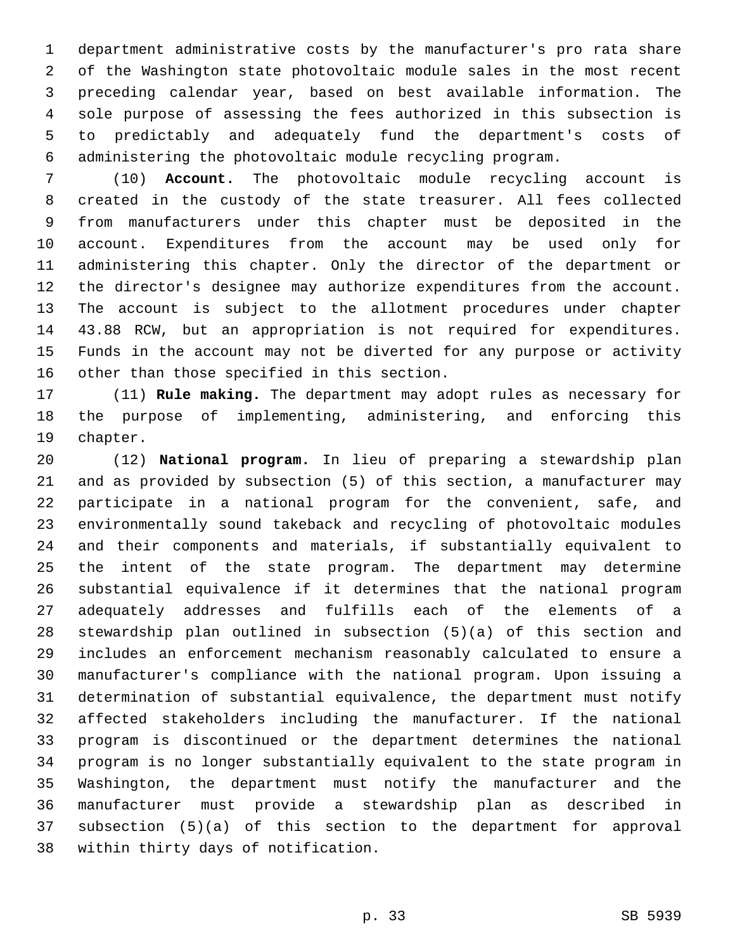department administrative costs by the manufacturer's pro rata share of the Washington state photovoltaic module sales in the most recent preceding calendar year, based on best available information. The sole purpose of assessing the fees authorized in this subsection is to predictably and adequately fund the department's costs of administering the photovoltaic module recycling program.

 (10) **Account.** The photovoltaic module recycling account is created in the custody of the state treasurer. All fees collected from manufacturers under this chapter must be deposited in the account. Expenditures from the account may be used only for administering this chapter. Only the director of the department or the director's designee may authorize expenditures from the account. The account is subject to the allotment procedures under chapter 43.88 RCW, but an appropriation is not required for expenditures. Funds in the account may not be diverted for any purpose or activity 16 other than those specified in this section.

 (11) **Rule making.** The department may adopt rules as necessary for the purpose of implementing, administering, and enforcing this 19 chapter.

 (12) **National program.** In lieu of preparing a stewardship plan and as provided by subsection (5) of this section, a manufacturer may participate in a national program for the convenient, safe, and environmentally sound takeback and recycling of photovoltaic modules and their components and materials, if substantially equivalent to the intent of the state program. The department may determine substantial equivalence if it determines that the national program adequately addresses and fulfills each of the elements of a stewardship plan outlined in subsection (5)(a) of this section and includes an enforcement mechanism reasonably calculated to ensure a manufacturer's compliance with the national program. Upon issuing a determination of substantial equivalence, the department must notify affected stakeholders including the manufacturer. If the national program is discontinued or the department determines the national program is no longer substantially equivalent to the state program in Washington, the department must notify the manufacturer and the manufacturer must provide a stewardship plan as described in subsection (5)(a) of this section to the department for approval 38 within thirty days of notification.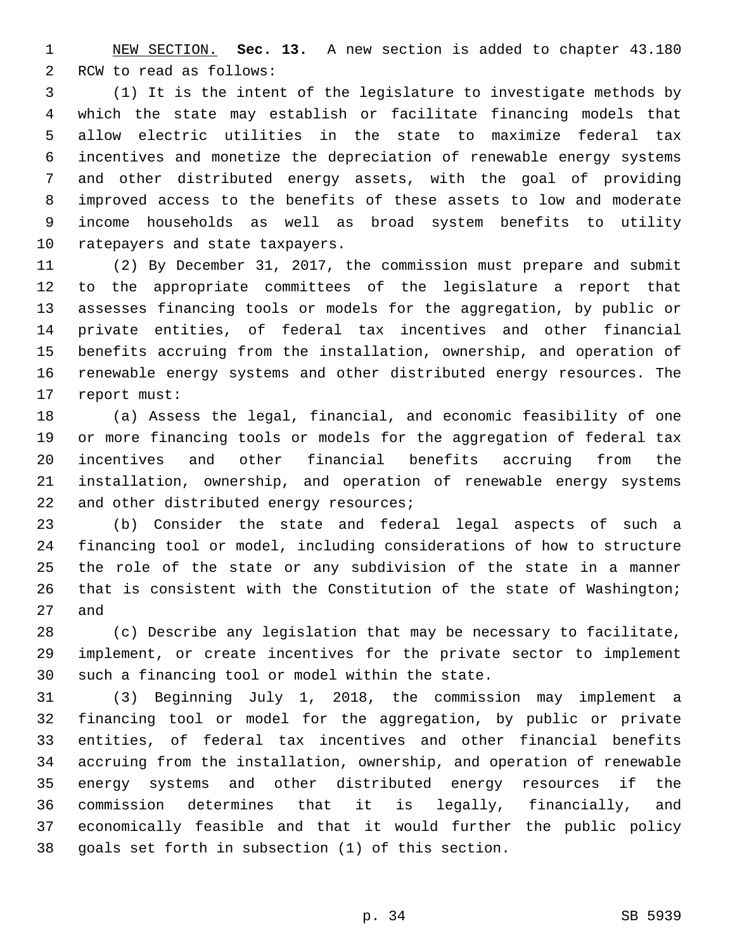NEW SECTION. **Sec. 13.** A new section is added to chapter 43.180 2 RCW to read as follows:

 (1) It is the intent of the legislature to investigate methods by which the state may establish or facilitate financing models that allow electric utilities in the state to maximize federal tax incentives and monetize the depreciation of renewable energy systems and other distributed energy assets, with the goal of providing improved access to the benefits of these assets to low and moderate income households as well as broad system benefits to utility 10 ratepayers and state taxpayers.

 (2) By December 31, 2017, the commission must prepare and submit to the appropriate committees of the legislature a report that assesses financing tools or models for the aggregation, by public or private entities, of federal tax incentives and other financial benefits accruing from the installation, ownership, and operation of renewable energy systems and other distributed energy resources. The 17 report must:

 (a) Assess the legal, financial, and economic feasibility of one or more financing tools or models for the aggregation of federal tax incentives and other financial benefits accruing from the installation, ownership, and operation of renewable energy systems 22 and other distributed energy resources;

 (b) Consider the state and federal legal aspects of such a financing tool or model, including considerations of how to structure the role of the state or any subdivision of the state in a manner that is consistent with the Constitution of the state of Washington; 27 and

 (c) Describe any legislation that may be necessary to facilitate, implement, or create incentives for the private sector to implement 30 such a financing tool or model within the state.

 (3) Beginning July 1, 2018, the commission may implement a financing tool or model for the aggregation, by public or private entities, of federal tax incentives and other financial benefits accruing from the installation, ownership, and operation of renewable energy systems and other distributed energy resources if the commission determines that it is legally, financially, and economically feasible and that it would further the public policy goals set forth in subsection (1) of this section.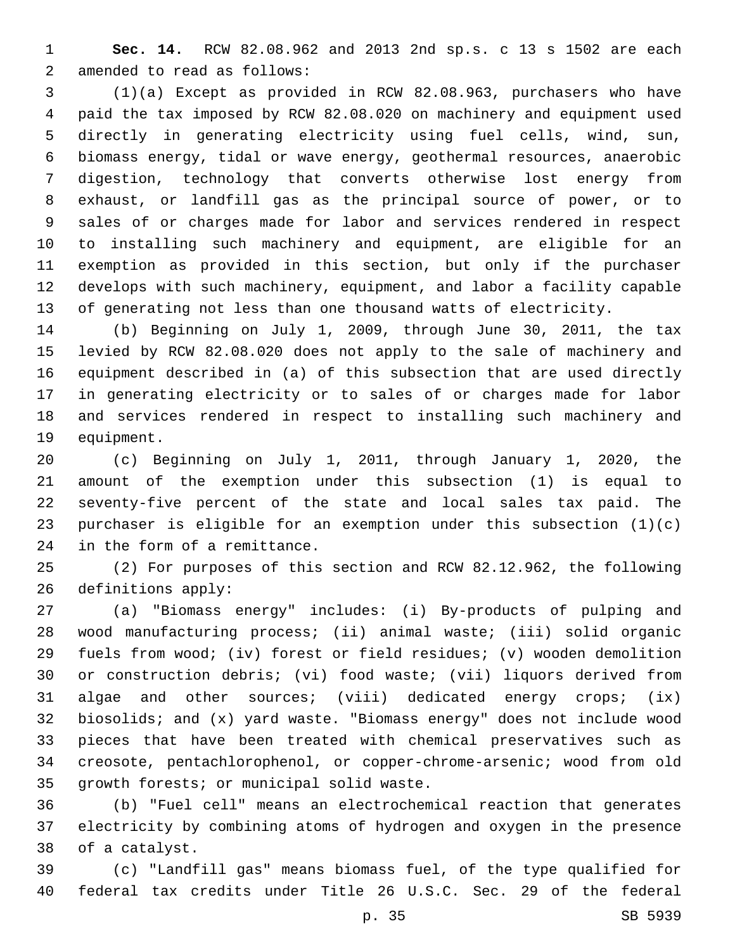**Sec. 14.** RCW 82.08.962 and 2013 2nd sp.s. c 13 s 1502 are each 2 amended to read as follows:

 (1)(a) Except as provided in RCW 82.08.963, purchasers who have paid the tax imposed by RCW 82.08.020 on machinery and equipment used directly in generating electricity using fuel cells, wind, sun, biomass energy, tidal or wave energy, geothermal resources, anaerobic digestion, technology that converts otherwise lost energy from exhaust, or landfill gas as the principal source of power, or to sales of or charges made for labor and services rendered in respect to installing such machinery and equipment, are eligible for an exemption as provided in this section, but only if the purchaser develops with such machinery, equipment, and labor a facility capable of generating not less than one thousand watts of electricity.

 (b) Beginning on July 1, 2009, through June 30, 2011, the tax levied by RCW 82.08.020 does not apply to the sale of machinery and equipment described in (a) of this subsection that are used directly in generating electricity or to sales of or charges made for labor and services rendered in respect to installing such machinery and 19 equipment.

 (c) Beginning on July 1, 2011, through January 1, 2020, the amount of the exemption under this subsection (1) is equal to seventy-five percent of the state and local sales tax paid. The purchaser is eligible for an exemption under this subsection (1)(c) 24 in the form of a remittance.

 (2) For purposes of this section and RCW 82.12.962, the following 26 definitions apply:

 (a) "Biomass energy" includes: (i) By-products of pulping and wood manufacturing process; (ii) animal waste; (iii) solid organic fuels from wood; (iv) forest or field residues; (v) wooden demolition or construction debris; (vi) food waste; (vii) liquors derived from algae and other sources; (viii) dedicated energy crops; (ix) biosolids; and (x) yard waste. "Biomass energy" does not include wood pieces that have been treated with chemical preservatives such as creosote, pentachlorophenol, or copper-chrome-arsenic; wood from old 35 growth forests; or municipal solid waste.

 (b) "Fuel cell" means an electrochemical reaction that generates electricity by combining atoms of hydrogen and oxygen in the presence 38 of a catalyst.

 (c) "Landfill gas" means biomass fuel, of the type qualified for federal tax credits under Title 26 U.S.C. Sec. 29 of the federal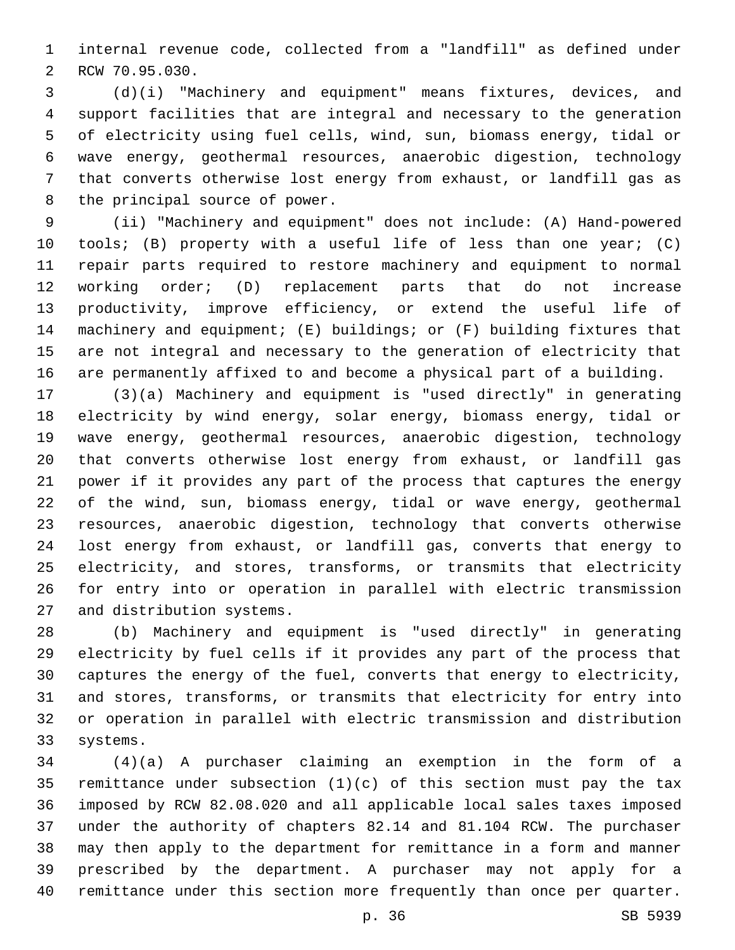internal revenue code, collected from a "landfill" as defined under 2 RCW 70.95.030.

 (d)(i) "Machinery and equipment" means fixtures, devices, and support facilities that are integral and necessary to the generation of electricity using fuel cells, wind, sun, biomass energy, tidal or wave energy, geothermal resources, anaerobic digestion, technology that converts otherwise lost energy from exhaust, or landfill gas as 8 the principal source of power.

 (ii) "Machinery and equipment" does not include: (A) Hand-powered tools; (B) property with a useful life of less than one year; (C) repair parts required to restore machinery and equipment to normal working order; (D) replacement parts that do not increase productivity, improve efficiency, or extend the useful life of machinery and equipment; (E) buildings; or (F) building fixtures that are not integral and necessary to the generation of electricity that are permanently affixed to and become a physical part of a building.

 (3)(a) Machinery and equipment is "used directly" in generating electricity by wind energy, solar energy, biomass energy, tidal or wave energy, geothermal resources, anaerobic digestion, technology that converts otherwise lost energy from exhaust, or landfill gas power if it provides any part of the process that captures the energy of the wind, sun, biomass energy, tidal or wave energy, geothermal resources, anaerobic digestion, technology that converts otherwise lost energy from exhaust, or landfill gas, converts that energy to electricity, and stores, transforms, or transmits that electricity for entry into or operation in parallel with electric transmission 27 and distribution systems.

 (b) Machinery and equipment is "used directly" in generating electricity by fuel cells if it provides any part of the process that captures the energy of the fuel, converts that energy to electricity, and stores, transforms, or transmits that electricity for entry into or operation in parallel with electric transmission and distribution 33 systems.

 (4)(a) A purchaser claiming an exemption in the form of a remittance under subsection (1)(c) of this section must pay the tax imposed by RCW 82.08.020 and all applicable local sales taxes imposed under the authority of chapters 82.14 and 81.104 RCW. The purchaser may then apply to the department for remittance in a form and manner prescribed by the department. A purchaser may not apply for a remittance under this section more frequently than once per quarter.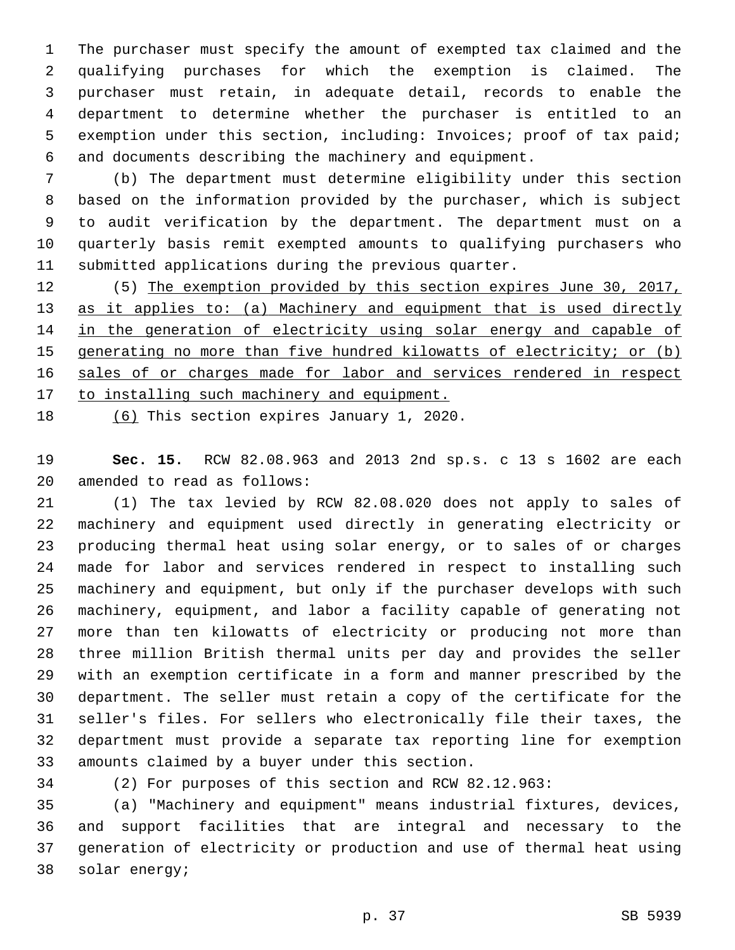The purchaser must specify the amount of exempted tax claimed and the qualifying purchases for which the exemption is claimed. The purchaser must retain, in adequate detail, records to enable the department to determine whether the purchaser is entitled to an exemption under this section, including: Invoices; proof of tax paid; and documents describing the machinery and equipment.

 (b) The department must determine eligibility under this section based on the information provided by the purchaser, which is subject to audit verification by the department. The department must on a quarterly basis remit exempted amounts to qualifying purchasers who submitted applications during the previous quarter.

 (5) The exemption provided by this section expires June 30, 2017, as it applies to: (a) Machinery and equipment that is used directly 14 in the generation of electricity using solar energy and capable of generating no more than five hundred kilowatts of electricity; or (b) sales of or charges made for labor and services rendered in respect 17 to installing such machinery and equipment.

18 (6) This section expires January 1, 2020.

 **Sec. 15.** RCW 82.08.963 and 2013 2nd sp.s. c 13 s 1602 are each 20 amended to read as follows:

 (1) The tax levied by RCW 82.08.020 does not apply to sales of machinery and equipment used directly in generating electricity or producing thermal heat using solar energy, or to sales of or charges made for labor and services rendered in respect to installing such machinery and equipment, but only if the purchaser develops with such machinery, equipment, and labor a facility capable of generating not more than ten kilowatts of electricity or producing not more than three million British thermal units per day and provides the seller with an exemption certificate in a form and manner prescribed by the department. The seller must retain a copy of the certificate for the seller's files. For sellers who electronically file their taxes, the department must provide a separate tax reporting line for exemption 33 amounts claimed by a buyer under this section.

(2) For purposes of this section and RCW 82.12.963:

 (a) "Machinery and equipment" means industrial fixtures, devices, and support facilities that are integral and necessary to the generation of electricity or production and use of thermal heat using 38 solar energy;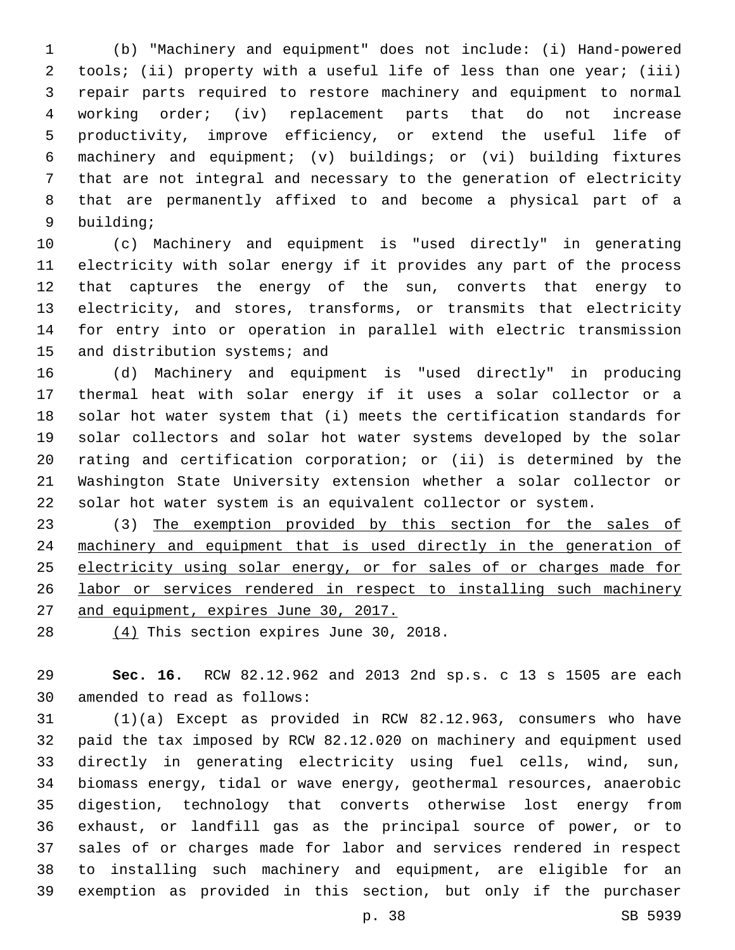(b) "Machinery and equipment" does not include: (i) Hand-powered tools; (ii) property with a useful life of less than one year; (iii) repair parts required to restore machinery and equipment to normal working order; (iv) replacement parts that do not increase productivity, improve efficiency, or extend the useful life of machinery and equipment; (v) buildings; or (vi) building fixtures that are not integral and necessary to the generation of electricity that are permanently affixed to and become a physical part of a 9 building;

 (c) Machinery and equipment is "used directly" in generating electricity with solar energy if it provides any part of the process that captures the energy of the sun, converts that energy to electricity, and stores, transforms, or transmits that electricity for entry into or operation in parallel with electric transmission 15 and distribution systems; and

 (d) Machinery and equipment is "used directly" in producing thermal heat with solar energy if it uses a solar collector or a solar hot water system that (i) meets the certification standards for solar collectors and solar hot water systems developed by the solar rating and certification corporation; or (ii) is determined by the Washington State University extension whether a solar collector or solar hot water system is an equivalent collector or system.

23 (3) The exemption provided by this section for the sales of machinery and equipment that is used directly in the generation of electricity using solar energy, or for sales of or charges made for labor or services rendered in respect to installing such machinery 27 and equipment, expires June 30, 2017.

 $(4)$  This section expires June 30, 2018.

 **Sec. 16.** RCW 82.12.962 and 2013 2nd sp.s. c 13 s 1505 are each 30 amended to read as follows:

 (1)(a) Except as provided in RCW 82.12.963, consumers who have paid the tax imposed by RCW 82.12.020 on machinery and equipment used directly in generating electricity using fuel cells, wind, sun, biomass energy, tidal or wave energy, geothermal resources, anaerobic digestion, technology that converts otherwise lost energy from exhaust, or landfill gas as the principal source of power, or to sales of or charges made for labor and services rendered in respect to installing such machinery and equipment, are eligible for an exemption as provided in this section, but only if the purchaser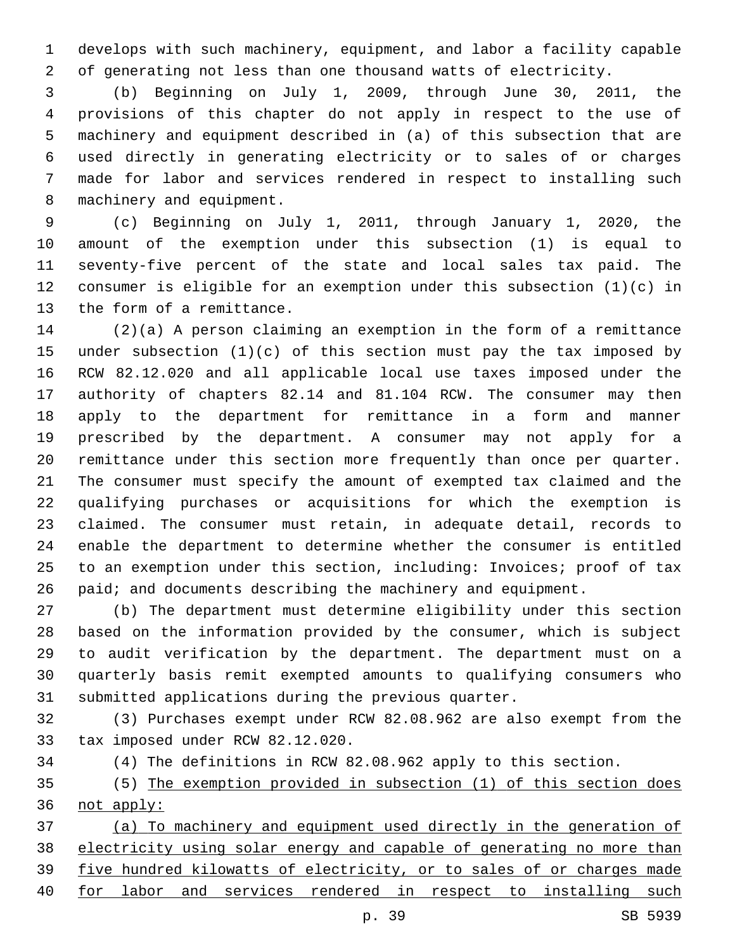develops with such machinery, equipment, and labor a facility capable of generating not less than one thousand watts of electricity.

 (b) Beginning on July 1, 2009, through June 30, 2011, the provisions of this chapter do not apply in respect to the use of machinery and equipment described in (a) of this subsection that are used directly in generating electricity or to sales of or charges made for labor and services rendered in respect to installing such 8 machinery and equipment.

 (c) Beginning on July 1, 2011, through January 1, 2020, the amount of the exemption under this subsection (1) is equal to seventy-five percent of the state and local sales tax paid. The consumer is eligible for an exemption under this subsection (1)(c) in 13 the form of a remittance.

 (2)(a) A person claiming an exemption in the form of a remittance under subsection (1)(c) of this section must pay the tax imposed by RCW 82.12.020 and all applicable local use taxes imposed under the authority of chapters 82.14 and 81.104 RCW. The consumer may then apply to the department for remittance in a form and manner prescribed by the department. A consumer may not apply for a remittance under this section more frequently than once per quarter. The consumer must specify the amount of exempted tax claimed and the qualifying purchases or acquisitions for which the exemption is claimed. The consumer must retain, in adequate detail, records to enable the department to determine whether the consumer is entitled to an exemption under this section, including: Invoices; proof of tax paid; and documents describing the machinery and equipment.

 (b) The department must determine eligibility under this section based on the information provided by the consumer, which is subject to audit verification by the department. The department must on a quarterly basis remit exempted amounts to qualifying consumers who submitted applications during the previous quarter.

 (3) Purchases exempt under RCW 82.08.962 are also exempt from the 33 tax imposed under RCW 82.12.020.

(4) The definitions in RCW 82.08.962 apply to this section.

 (5) The exemption provided in subsection (1) of this section does not apply:

 (a) To machinery and equipment used directly in the generation of electricity using solar energy and capable of generating no more than five hundred kilowatts of electricity, or to sales of or charges made for labor and services rendered in respect to installing such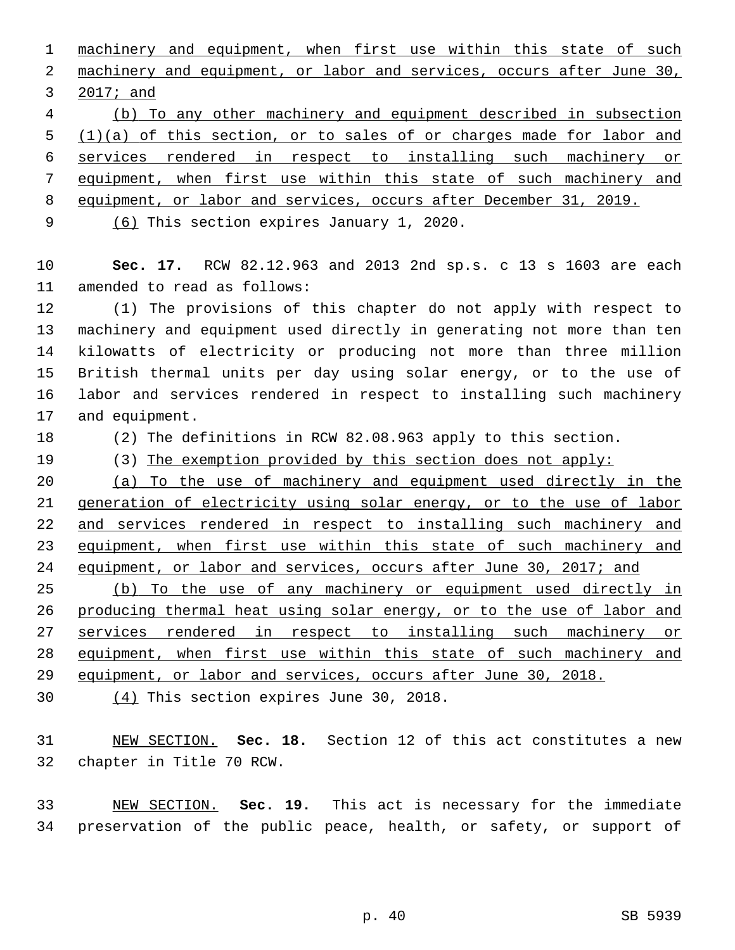machinery and equipment, when first use within this state of such 2 machinery and equipment, or labor and services, occurs after June 30, 3 2017; and

 (b) To any other machinery and equipment described in subsection (1)(a) of this section, or to sales of or charges made for labor and services rendered in respect to installing such machinery or equipment, when first use within this state of such machinery and

equipment, or labor and services, occurs after December 31, 2019.

9 (6) This section expires January 1, 2020.

 **Sec. 17.** RCW 82.12.963 and 2013 2nd sp.s. c 13 s 1603 are each 11 amended to read as follows:

 (1) The provisions of this chapter do not apply with respect to machinery and equipment used directly in generating not more than ten kilowatts of electricity or producing not more than three million British thermal units per day using solar energy, or to the use of labor and services rendered in respect to installing such machinery 17 and equipment.

(2) The definitions in RCW 82.08.963 apply to this section.

(3) The exemption provided by this section does not apply:

 (a) To the use of machinery and equipment used directly in the 21 generation of electricity using solar energy, or to the use of labor 22 and services rendered in respect to installing such machinery and 23 equipment, when first use within this state of such machinery and 24 equipment, or labor and services, occurs after June 30, 2017; and

 (b) To the use of any machinery or equipment used directly in producing thermal heat using solar energy, or to the use of labor and services rendered in respect to installing such machinery or equipment, when first use within this state of such machinery and equipment, or labor and services, occurs after June 30, 2018.

 $(4)$  This section expires June 30, 2018.

 NEW SECTION. **Sec. 18.** Section 12 of this act constitutes a new chapter in Title 70 RCW.

 NEW SECTION. **Sec. 19.** This act is necessary for the immediate preservation of the public peace, health, or safety, or support of